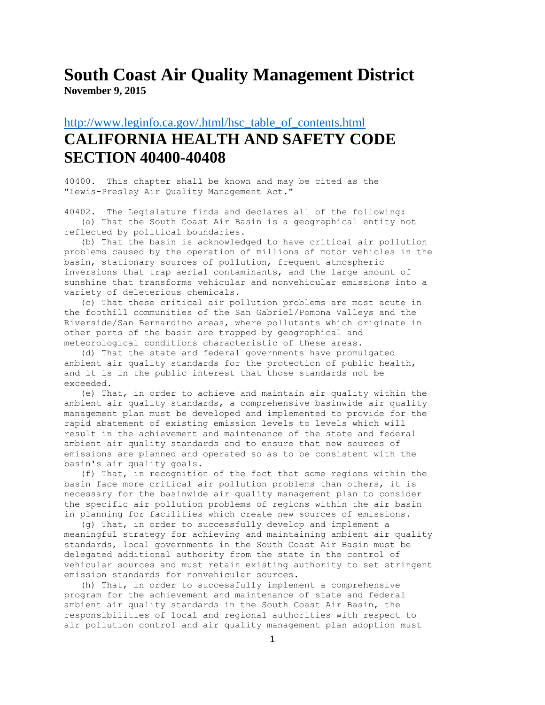#### **South Coast Air Quality Management District November 9, 2015**

#### [http://www.leginfo.ca.gov/.html/hsc\\_table\\_of\\_contents.html](http://www.leginfo.ca.gov/.html/hsc_table_of_contents.html) **CALIFORNIA HEALTH AND SAFETY CODE SECTION 40400-40408**

40400. This chapter shall be known and may be cited as the "Lewis-Presley Air Quality Management Act."

40402. The Legislature finds and declares all of the following: (a) That the South Coast Air Basin is a geographical entity not

reflected by political boundaries.

 (b) That the basin is acknowledged to have critical air pollution problems caused by the operation of millions of motor vehicles in the basin, stationary sources of pollution, frequent atmospheric inversions that trap aerial contaminants, and the large amount of sunshine that transforms vehicular and nonvehicular emissions into a variety of deleterious chemicals.

 (c) That these critical air pollution problems are most acute in the foothill communities of the San Gabriel/Pomona Valleys and the Riverside/San Bernardino areas, where pollutants which originate in other parts of the basin are trapped by geographical and meteorological conditions characteristic of these areas.

 (d) That the state and federal governments have promulgated ambient air quality standards for the protection of public health, and it is in the public interest that those standards not be exceeded.

 (e) That, in order to achieve and maintain air quality within the ambient air quality standards, a comprehensive basinwide air quality management plan must be developed and implemented to provide for the rapid abatement of existing emission levels to levels which will result in the achievement and maintenance of the state and federal ambient air quality standards and to ensure that new sources of emissions are planned and operated so as to be consistent with the basin's air quality goals.

 (f) That, in recognition of the fact that some regions within the basin face more critical air pollution problems than others, it is necessary for the basinwide air quality management plan to consider the specific air pollution problems of regions within the air basin in planning for facilities which create new sources of emissions.

 (g) That, in order to successfully develop and implement a meaningful strategy for achieving and maintaining ambient air quality standards, local governments in the South Coast Air Basin must be delegated additional authority from the state in the control of vehicular sources and must retain existing authority to set stringent emission standards for nonvehicular sources.

 (h) That, in order to successfully implement a comprehensive program for the achievement and maintenance of state and federal ambient air quality standards in the South Coast Air Basin, the responsibilities of local and regional authorities with respect to air pollution control and air quality management plan adoption must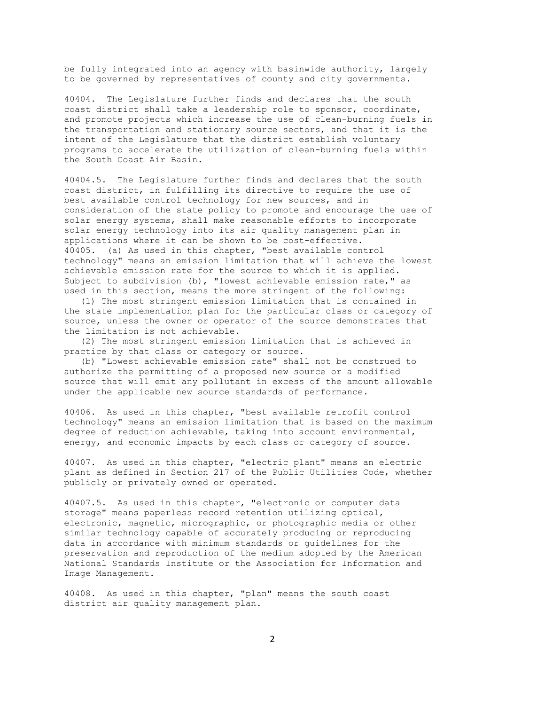be fully integrated into an agency with basinwide authority, largely to be governed by representatives of county and city governments.

40404. The Legislature further finds and declares that the south coast district shall take a leadership role to sponsor, coordinate, and promote projects which increase the use of clean-burning fuels in the transportation and stationary source sectors, and that it is the intent of the Legislature that the district establish voluntary programs to accelerate the utilization of clean-burning fuels within the South Coast Air Basin.

40404.5. The Legislature further finds and declares that the south coast district, in fulfilling its directive to require the use of best available control technology for new sources, and in consideration of the state policy to promote and encourage the use of solar energy systems, shall make reasonable efforts to incorporate solar energy technology into its air quality management plan in applications where it can be shown to be cost-effective. 40405. (a) As used in this chapter, "best available control technology" means an emission limitation that will achieve the lowest achievable emission rate for the source to which it is applied. Subject to subdivision (b), "lowest achievable emission rate," as used in this section, means the more stringent of the following:

 (1) The most stringent emission limitation that is contained in the state implementation plan for the particular class or category of source, unless the owner or operator of the source demonstrates that the limitation is not achievable.

 (2) The most stringent emission limitation that is achieved in practice by that class or category or source.

 (b) "Lowest achievable emission rate" shall not be construed to authorize the permitting of a proposed new source or a modified source that will emit any pollutant in excess of the amount allowable under the applicable new source standards of performance.

40406. As used in this chapter, "best available retrofit control technology" means an emission limitation that is based on the maximum degree of reduction achievable, taking into account environmental, energy, and economic impacts by each class or category of source.

40407. As used in this chapter, "electric plant" means an electric plant as defined in Section 217 of the Public Utilities Code, whether publicly or privately owned or operated.

40407.5. As used in this chapter, "electronic or computer data storage" means paperless record retention utilizing optical, electronic, magnetic, micrographic, or photographic media or other similar technology capable of accurately producing or reproducing data in accordance with minimum standards or guidelines for the preservation and reproduction of the medium adopted by the American National Standards Institute or the Association for Information and Image Management.

40408. As used in this chapter, "plan" means the south coast district air quality management plan.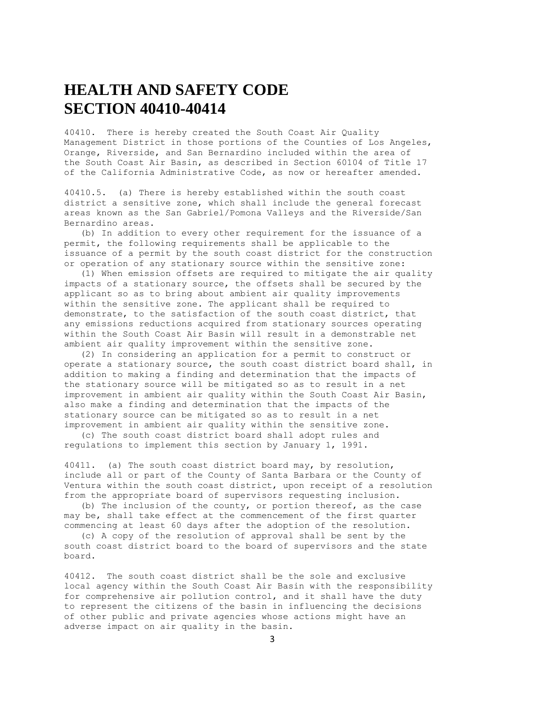# **HEALTH AND SAFETY CODE SECTION 40410-40414**

40410. There is hereby created the South Coast Air Quality Management District in those portions of the Counties of Los Angeles, Orange, Riverside, and San Bernardino included within the area of the South Coast Air Basin, as described in Section 60104 of Title 17 of the California Administrative Code, as now or hereafter amended.

40410.5. (a) There is hereby established within the south coast district a sensitive zone, which shall include the general forecast areas known as the San Gabriel/Pomona Valleys and the Riverside/San Bernardino areas.

 (b) In addition to every other requirement for the issuance of a permit, the following requirements shall be applicable to the issuance of a permit by the south coast district for the construction or operation of any stationary source within the sensitive zone:

 (1) When emission offsets are required to mitigate the air quality impacts of a stationary source, the offsets shall be secured by the applicant so as to bring about ambient air quality improvements within the sensitive zone. The applicant shall be required to demonstrate, to the satisfaction of the south coast district, that any emissions reductions acquired from stationary sources operating within the South Coast Air Basin will result in a demonstrable net ambient air quality improvement within the sensitive zone.

 (2) In considering an application for a permit to construct or operate a stationary source, the south coast district board shall, in addition to making a finding and determination that the impacts of the stationary source will be mitigated so as to result in a net improvement in ambient air quality within the South Coast Air Basin, also make a finding and determination that the impacts of the stationary source can be mitigated so as to result in a net improvement in ambient air quality within the sensitive zone.

 (c) The south coast district board shall adopt rules and regulations to implement this section by January 1, 1991.

40411. (a) The south coast district board may, by resolution, include all or part of the County of Santa Barbara or the County of Ventura within the south coast district, upon receipt of a resolution from the appropriate board of supervisors requesting inclusion.

 (b) The inclusion of the county, or portion thereof, as the case may be, shall take effect at the commencement of the first quarter commencing at least 60 days after the adoption of the resolution.

 (c) A copy of the resolution of approval shall be sent by the south coast district board to the board of supervisors and the state board.

40412. The south coast district shall be the sole and exclusive local agency within the South Coast Air Basin with the responsibility for comprehensive air pollution control, and it shall have the duty to represent the citizens of the basin in influencing the decisions of other public and private agencies whose actions might have an adverse impact on air quality in the basin.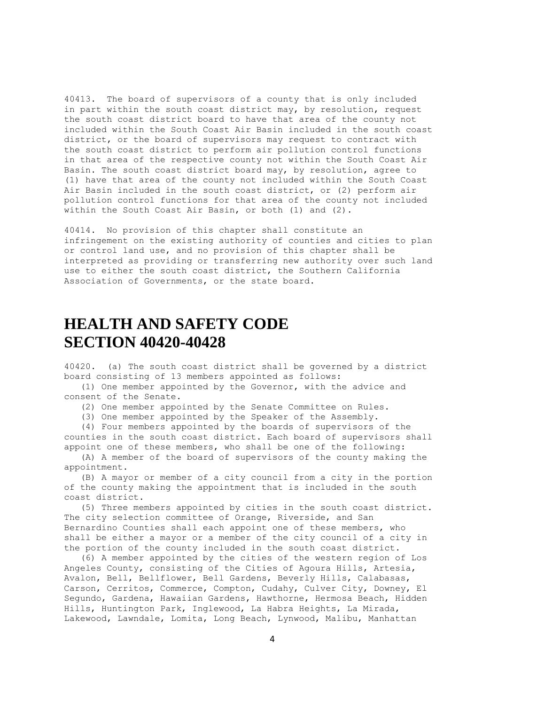40413. The board of supervisors of a county that is only included in part within the south coast district may, by resolution, request the south coast district board to have that area of the county not included within the South Coast Air Basin included in the south coast district, or the board of supervisors may request to contract with the south coast district to perform air pollution control functions in that area of the respective county not within the South Coast Air Basin. The south coast district board may, by resolution, agree to (1) have that area of the county not included within the South Coast Air Basin included in the south coast district, or (2) perform air pollution control functions for that area of the county not included within the South Coast Air Basin, or both (1) and (2).

40414. No provision of this chapter shall constitute an infringement on the existing authority of counties and cities to plan or control land use, and no provision of this chapter shall be interpreted as providing or transferring new authority over such land use to either the south coast district, the Southern California Association of Governments, or the state board.

## **HEALTH AND SAFETY CODE SECTION 40420-40428**

40420. (a) The south coast district shall be governed by a district board consisting of 13 members appointed as follows:

 (1) One member appointed by the Governor, with the advice and consent of the Senate.

(2) One member appointed by the Senate Committee on Rules.

(3) One member appointed by the Speaker of the Assembly.

 (4) Four members appointed by the boards of supervisors of the counties in the south coast district. Each board of supervisors shall appoint one of these members, who shall be one of the following:

 (A) A member of the board of supervisors of the county making the appointment.

 (B) A mayor or member of a city council from a city in the portion of the county making the appointment that is included in the south coast district.

 (5) Three members appointed by cities in the south coast district. The city selection committee of Orange, Riverside, and San Bernardino Counties shall each appoint one of these members, who shall be either a mayor or a member of the city council of a city in the portion of the county included in the south coast district.

 (6) A member appointed by the cities of the western region of Los Angeles County, consisting of the Cities of Agoura Hills, Artesia, Avalon, Bell, Bellflower, Bell Gardens, Beverly Hills, Calabasas, Carson, Cerritos, Commerce, Compton, Cudahy, Culver City, Downey, El Segundo, Gardena, Hawaiian Gardens, Hawthorne, Hermosa Beach, Hidden Hills, Huntington Park, Inglewood, La Habra Heights, La Mirada, Lakewood, Lawndale, Lomita, Long Beach, Lynwood, Malibu, Manhattan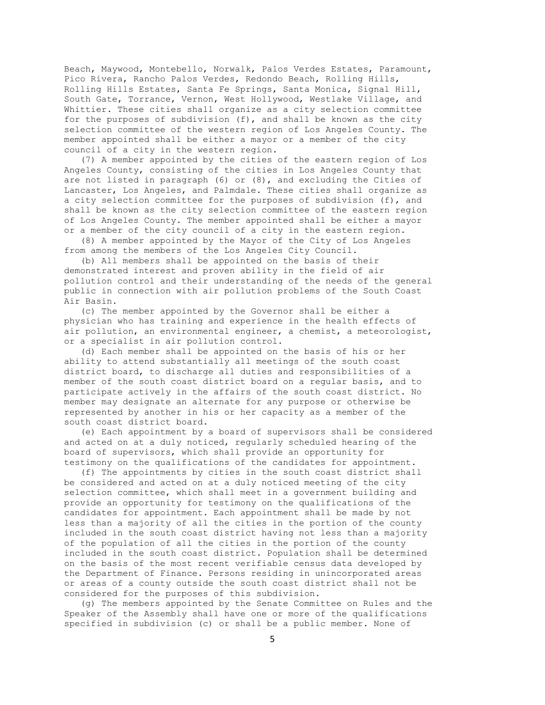Beach, Maywood, Montebello, Norwalk, Palos Verdes Estates, Paramount, Pico Rivera, Rancho Palos Verdes, Redondo Beach, Rolling Hills, Rolling Hills Estates, Santa Fe Springs, Santa Monica, Signal Hill, South Gate, Torrance, Vernon, West Hollywood, Westlake Village, and Whittier. These cities shall organize as a city selection committee for the purposes of subdivision (f), and shall be known as the city selection committee of the western region of Los Angeles County. The member appointed shall be either a mayor or a member of the city council of a city in the western region.

 (7) A member appointed by the cities of the eastern region of Los Angeles County, consisting of the cities in Los Angeles County that are not listed in paragraph  $(6)$  or  $(8)$ , and excluding the Cities of Lancaster, Los Angeles, and Palmdale. These cities shall organize as a city selection committee for the purposes of subdivision (f), and shall be known as the city selection committee of the eastern region of Los Angeles County. The member appointed shall be either a mayor or a member of the city council of a city in the eastern region.

 (8) A member appointed by the Mayor of the City of Los Angeles from among the members of the Los Angeles City Council.

 (b) All members shall be appointed on the basis of their demonstrated interest and proven ability in the field of air pollution control and their understanding of the needs of the general public in connection with air pollution problems of the South Coast Air Basin.

 (c) The member appointed by the Governor shall be either a physician who has training and experience in the health effects of air pollution, an environmental engineer, a chemist, a meteorologist, or a specialist in air pollution control.

 (d) Each member shall be appointed on the basis of his or her ability to attend substantially all meetings of the south coast district board, to discharge all duties and responsibilities of a member of the south coast district board on a regular basis, and to participate actively in the affairs of the south coast district. No member may designate an alternate for any purpose or otherwise be represented by another in his or her capacity as a member of the south coast district board.

 (e) Each appointment by a board of supervisors shall be considered and acted on at a duly noticed, regularly scheduled hearing of the board of supervisors, which shall provide an opportunity for testimony on the qualifications of the candidates for appointment.

 (f) The appointments by cities in the south coast district shall be considered and acted on at a duly noticed meeting of the city selection committee, which shall meet in a government building and provide an opportunity for testimony on the qualifications of the candidates for appointment. Each appointment shall be made by not less than a majority of all the cities in the portion of the county included in the south coast district having not less than a majority of the population of all the cities in the portion of the county included in the south coast district. Population shall be determined on the basis of the most recent verifiable census data developed by the Department of Finance. Persons residing in unincorporated areas or areas of a county outside the south coast district shall not be considered for the purposes of this subdivision.

 (g) The members appointed by the Senate Committee on Rules and the Speaker of the Assembly shall have one or more of the qualifications specified in subdivision (c) or shall be a public member. None of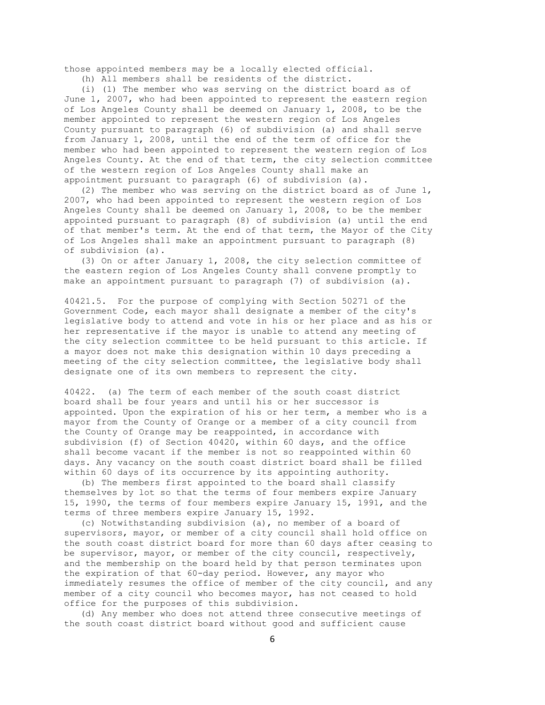those appointed members may be a locally elected official.

(h) All members shall be residents of the district.

 (i) (1) The member who was serving on the district board as of June 1, 2007, who had been appointed to represent the eastern region of Los Angeles County shall be deemed on January 1, 2008, to be the member appointed to represent the western region of Los Angeles County pursuant to paragraph (6) of subdivision (a) and shall serve from January 1, 2008, until the end of the term of office for the member who had been appointed to represent the western region of Los Angeles County. At the end of that term, the city selection committee of the western region of Los Angeles County shall make an appointment pursuant to paragraph (6) of subdivision (a).

 (2) The member who was serving on the district board as of June 1, 2007, who had been appointed to represent the western region of Los Angeles County shall be deemed on January 1, 2008, to be the member appointed pursuant to paragraph (8) of subdivision (a) until the end of that member's term. At the end of that term, the Mayor of the City of Los Angeles shall make an appointment pursuant to paragraph (8) of subdivision (a).

 (3) On or after January 1, 2008, the city selection committee of the eastern region of Los Angeles County shall convene promptly to make an appointment pursuant to paragraph (7) of subdivision (a).

40421.5. For the purpose of complying with Section 50271 of the Government Code, each mayor shall designate a member of the city's legislative body to attend and vote in his or her place and as his or her representative if the mayor is unable to attend any meeting of the city selection committee to be held pursuant to this article. If a mayor does not make this designation within 10 days preceding a meeting of the city selection committee, the legislative body shall designate one of its own members to represent the city.

40422. (a) The term of each member of the south coast district board shall be four years and until his or her successor is appointed. Upon the expiration of his or her term, a member who is a mayor from the County of Orange or a member of a city council from the County of Orange may be reappointed, in accordance with subdivision (f) of Section 40420, within 60 days, and the office shall become vacant if the member is not so reappointed within 60 days. Any vacancy on the south coast district board shall be filled within 60 days of its occurrence by its appointing authority.

 (b) The members first appointed to the board shall classify themselves by lot so that the terms of four members expire January 15, 1990, the terms of four members expire January 15, 1991, and the terms of three members expire January 15, 1992.

 (c) Notwithstanding subdivision (a), no member of a board of supervisors, mayor, or member of a city council shall hold office on the south coast district board for more than 60 days after ceasing to be supervisor, mayor, or member of the city council, respectively, and the membership on the board held by that person terminates upon the expiration of that 60-day period. However, any mayor who immediately resumes the office of member of the city council, and any member of a city council who becomes mayor, has not ceased to hold office for the purposes of this subdivision.

 (d) Any member who does not attend three consecutive meetings of the south coast district board without good and sufficient cause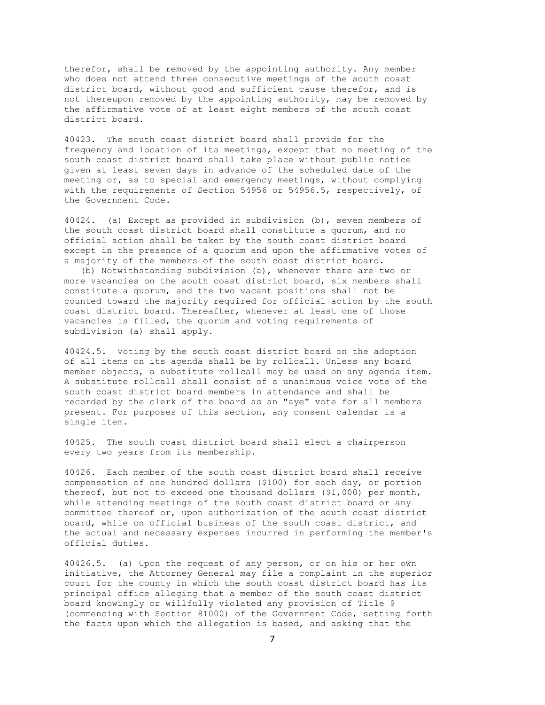therefor, shall be removed by the appointing authority. Any member who does not attend three consecutive meetings of the south coast district board, without good and sufficient cause therefor, and is not thereupon removed by the appointing authority, may be removed by the affirmative vote of at least eight members of the south coast district board.

40423. The south coast district board shall provide for the frequency and location of its meetings, except that no meeting of the south coast district board shall take place without public notice given at least seven days in advance of the scheduled date of the meeting or, as to special and emergency meetings, without complying with the requirements of Section 54956 or 54956.5, respectively, of the Government Code.

40424. (a) Except as provided in subdivision (b), seven members of the south coast district board shall constitute a quorum, and no official action shall be taken by the south coast district board except in the presence of a quorum and upon the affirmative votes of a majority of the members of the south coast district board.

 (b) Notwithstanding subdivision (a), whenever there are two or more vacancies on the south coast district board, six members shall constitute a quorum, and the two vacant positions shall not be counted toward the majority required for official action by the south coast district board. Thereafter, whenever at least one of those vacancies is filled, the quorum and voting requirements of subdivision (a) shall apply.

40424.5. Voting by the south coast district board on the adoption of all items on its agenda shall be by rollcall. Unless any board member objects, a substitute rollcall may be used on any agenda item. A substitute rollcall shall consist of a unanimous voice vote of the south coast district board members in attendance and shall be recorded by the clerk of the board as an "aye" vote for all members present. For purposes of this section, any consent calendar is a single item.

40425. The south coast district board shall elect a chairperson every two years from its membership.

40426. Each member of the south coast district board shall receive compensation of one hundred dollars (\$100) for each day, or portion thereof, but not to exceed one thousand dollars (\$1,000) per month, while attending meetings of the south coast district board or any committee thereof or, upon authorization of the south coast district board, while on official business of the south coast district, and the actual and necessary expenses incurred in performing the member's official duties.

40426.5. (a) Upon the request of any person, or on his or her own initiative, the Attorney General may file a complaint in the superior court for the county in which the south coast district board has its principal office alleging that a member of the south coast district board knowingly or willfully violated any provision of Title 9 (commencing with Section 81000) of the Government Code, setting forth the facts upon which the allegation is based, and asking that the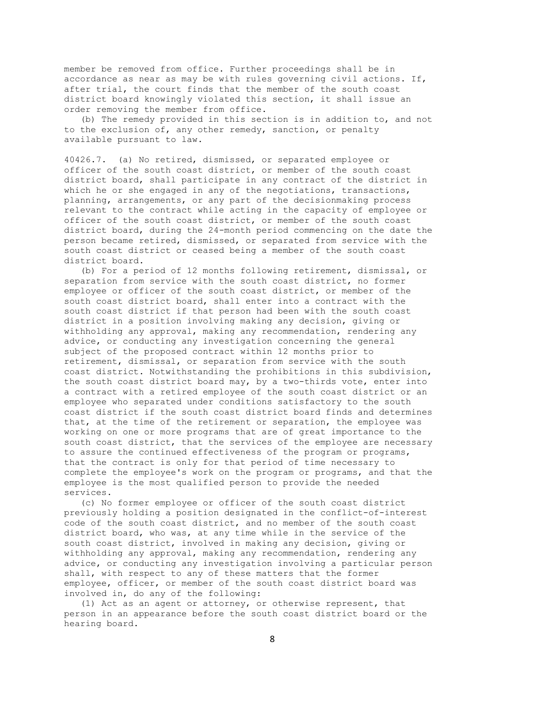member be removed from office. Further proceedings shall be in accordance as near as may be with rules governing civil actions. If, after trial, the court finds that the member of the south coast district board knowingly violated this section, it shall issue an order removing the member from office.

 (b) The remedy provided in this section is in addition to, and not to the exclusion of, any other remedy, sanction, or penalty available pursuant to law.

40426.7. (a) No retired, dismissed, or separated employee or officer of the south coast district, or member of the south coast district board, shall participate in any contract of the district in which he or she engaged in any of the negotiations, transactions, planning, arrangements, or any part of the decisionmaking process relevant to the contract while acting in the capacity of employee or officer of the south coast district, or member of the south coast district board, during the 24-month period commencing on the date the person became retired, dismissed, or separated from service with the south coast district or ceased being a member of the south coast district board.

 (b) For a period of 12 months following retirement, dismissal, or separation from service with the south coast district, no former employee or officer of the south coast district, or member of the south coast district board, shall enter into a contract with the south coast district if that person had been with the south coast district in a position involving making any decision, giving or withholding any approval, making any recommendation, rendering any advice, or conducting any investigation concerning the general subject of the proposed contract within 12 months prior to retirement, dismissal, or separation from service with the south coast district. Notwithstanding the prohibitions in this subdivision, the south coast district board may, by a two-thirds vote, enter into a contract with a retired employee of the south coast district or an employee who separated under conditions satisfactory to the south coast district if the south coast district board finds and determines that, at the time of the retirement or separation, the employee was working on one or more programs that are of great importance to the south coast district, that the services of the employee are necessary to assure the continued effectiveness of the program or programs, that the contract is only for that period of time necessary to complete the employee's work on the program or programs, and that the employee is the most qualified person to provide the needed services.

 (c) No former employee or officer of the south coast district previously holding a position designated in the conflict-of-interest code of the south coast district, and no member of the south coast district board, who was, at any time while in the service of the south coast district, involved in making any decision, giving or withholding any approval, making any recommendation, rendering any advice, or conducting any investigation involving a particular person shall, with respect to any of these matters that the former employee, officer, or member of the south coast district board was involved in, do any of the following:

 (1) Act as an agent or attorney, or otherwise represent, that person in an appearance before the south coast district board or the hearing board.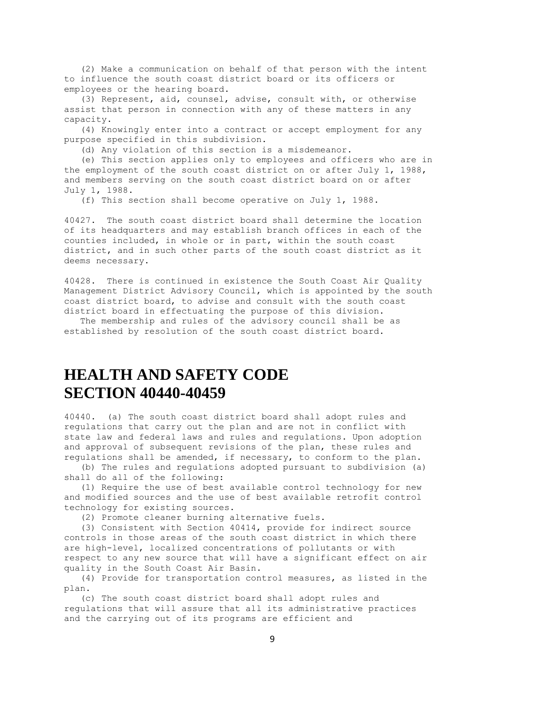(2) Make a communication on behalf of that person with the intent to influence the south coast district board or its officers or employees or the hearing board.

 (3) Represent, aid, counsel, advise, consult with, or otherwise assist that person in connection with any of these matters in any capacity.

 (4) Knowingly enter into a contract or accept employment for any purpose specified in this subdivision.

(d) Any violation of this section is a misdemeanor.

 (e) This section applies only to employees and officers who are in the employment of the south coast district on or after July 1, 1988, and members serving on the south coast district board on or after July 1, 1988.

(f) This section shall become operative on July 1, 1988.

40427. The south coast district board shall determine the location of its headquarters and may establish branch offices in each of the counties included, in whole or in part, within the south coast district, and in such other parts of the south coast district as it deems necessary.

40428. There is continued in existence the South Coast Air Quality Management District Advisory Council, which is appointed by the south coast district board, to advise and consult with the south coast district board in effectuating the purpose of this division.

 The membership and rules of the advisory council shall be as established by resolution of the south coast district board.

## **HEALTH AND SAFETY CODE SECTION 40440-40459**

40440. (a) The south coast district board shall adopt rules and regulations that carry out the plan and are not in conflict with state law and federal laws and rules and regulations. Upon adoption and approval of subsequent revisions of the plan, these rules and regulations shall be amended, if necessary, to conform to the plan.

 (b) The rules and regulations adopted pursuant to subdivision (a) shall do all of the following:

 (1) Require the use of best available control technology for new and modified sources and the use of best available retrofit control technology for existing sources.

(2) Promote cleaner burning alternative fuels.

 (3) Consistent with Section 40414, provide for indirect source controls in those areas of the south coast district in which there are high-level, localized concentrations of pollutants or with respect to any new source that will have a significant effect on air quality in the South Coast Air Basin.

 (4) Provide for transportation control measures, as listed in the plan.

 (c) The south coast district board shall adopt rules and regulations that will assure that all its administrative practices and the carrying out of its programs are efficient and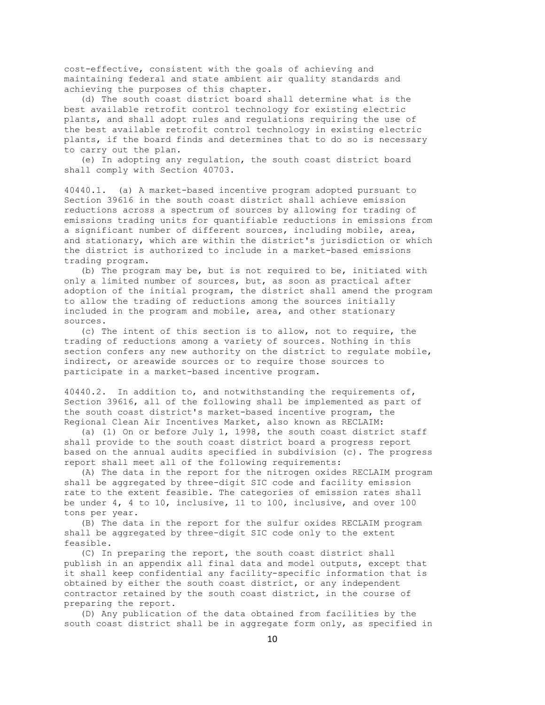cost-effective, consistent with the goals of achieving and maintaining federal and state ambient air quality standards and achieving the purposes of this chapter.

 (d) The south coast district board shall determine what is the best available retrofit control technology for existing electric plants, and shall adopt rules and regulations requiring the use of the best available retrofit control technology in existing electric plants, if the board finds and determines that to do so is necessary to carry out the plan.

 (e) In adopting any regulation, the south coast district board shall comply with Section 40703.

40440.1. (a) A market-based incentive program adopted pursuant to Section 39616 in the south coast district shall achieve emission reductions across a spectrum of sources by allowing for trading of emissions trading units for quantifiable reductions in emissions from a significant number of different sources, including mobile, area, and stationary, which are within the district's jurisdiction or which the district is authorized to include in a market-based emissions trading program.

 (b) The program may be, but is not required to be, initiated with only a limited number of sources, but, as soon as practical after adoption of the initial program, the district shall amend the program to allow the trading of reductions among the sources initially included in the program and mobile, area, and other stationary sources.

 (c) The intent of this section is to allow, not to require, the trading of reductions among a variety of sources. Nothing in this section confers any new authority on the district to regulate mobile, indirect, or areawide sources or to require those sources to participate in a market-based incentive program.

40440.2. In addition to, and notwithstanding the requirements of, Section 39616, all of the following shall be implemented as part of the south coast district's market-based incentive program, the Regional Clean Air Incentives Market, also known as RECLAIM:

 (a) (1) On or before July 1, 1998, the south coast district staff shall provide to the south coast district board a progress report based on the annual audits specified in subdivision (c). The progress report shall meet all of the following requirements:

 (A) The data in the report for the nitrogen oxides RECLAIM program shall be aggregated by three-digit SIC code and facility emission rate to the extent feasible. The categories of emission rates shall be under 4, 4 to 10, inclusive, 11 to 100, inclusive, and over 100 tons per year.

 (B) The data in the report for the sulfur oxides RECLAIM program shall be aggregated by three-digit SIC code only to the extent feasible.

 (C) In preparing the report, the south coast district shall publish in an appendix all final data and model outputs, except that it shall keep confidential any facility-specific information that is obtained by either the south coast district, or any independent contractor retained by the south coast district, in the course of preparing the report.

 (D) Any publication of the data obtained from facilities by the south coast district shall be in aggregate form only, as specified in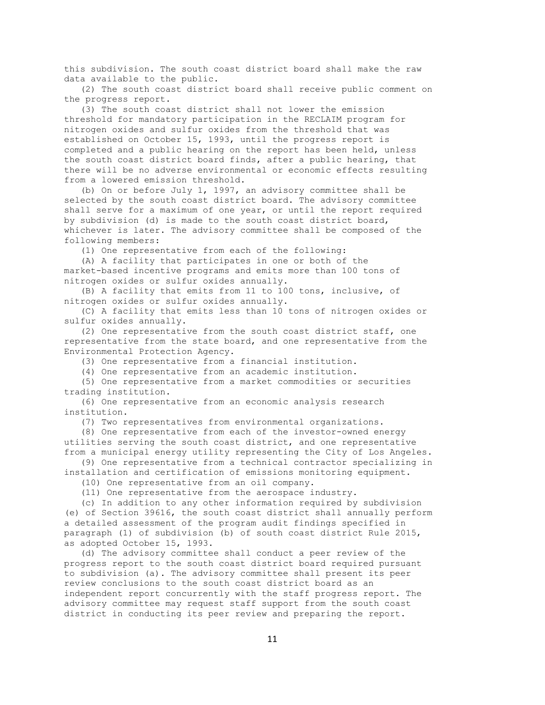this subdivision. The south coast district board shall make the raw data available to the public.

 (2) The south coast district board shall receive public comment on the progress report.

 (3) The south coast district shall not lower the emission threshold for mandatory participation in the RECLAIM program for nitrogen oxides and sulfur oxides from the threshold that was established on October 15, 1993, until the progress report is completed and a public hearing on the report has been held, unless the south coast district board finds, after a public hearing, that there will be no adverse environmental or economic effects resulting from a lowered emission threshold.

 (b) On or before July 1, 1997, an advisory committee shall be selected by the south coast district board. The advisory committee shall serve for a maximum of one year, or until the report required by subdivision (d) is made to the south coast district board, whichever is later. The advisory committee shall be composed of the following members:

(1) One representative from each of the following:

 (A) A facility that participates in one or both of the market-based incentive programs and emits more than 100 tons of nitrogen oxides or sulfur oxides annually.

 (B) A facility that emits from 11 to 100 tons, inclusive, of nitrogen oxides or sulfur oxides annually.

 (C) A facility that emits less than 10 tons of nitrogen oxides or sulfur oxides annually.

 (2) One representative from the south coast district staff, one representative from the state board, and one representative from the Environmental Protection Agency.

(3) One representative from a financial institution.

(4) One representative from an academic institution.

 (5) One representative from a market commodities or securities trading institution.

 (6) One representative from an economic analysis research institution.

(7) Two representatives from environmental organizations.

 (8) One representative from each of the investor-owned energy utilities serving the south coast district, and one representative from a municipal energy utility representing the City of Los Angeles.

 (9) One representative from a technical contractor specializing in installation and certification of emissions monitoring equipment.

(10) One representative from an oil company.

(11) One representative from the aerospace industry.

 (c) In addition to any other information required by subdivision (e) of Section 39616, the south coast district shall annually perform a detailed assessment of the program audit findings specified in paragraph (1) of subdivision (b) of south coast district Rule 2015, as adopted October 15, 1993.

 (d) The advisory committee shall conduct a peer review of the progress report to the south coast district board required pursuant to subdivision (a). The advisory committee shall present its peer review conclusions to the south coast district board as an independent report concurrently with the staff progress report. The advisory committee may request staff support from the south coast district in conducting its peer review and preparing the report.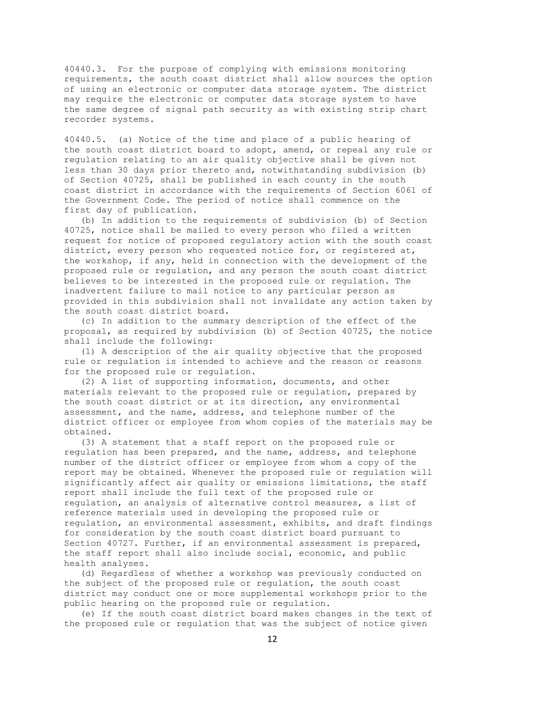40440.3. For the purpose of complying with emissions monitoring requirements, the south coast district shall allow sources the option of using an electronic or computer data storage system. The district may require the electronic or computer data storage system to have the same degree of signal path security as with existing strip chart recorder systems.

40440.5. (a) Notice of the time and place of a public hearing of the south coast district board to adopt, amend, or repeal any rule or regulation relating to an air quality objective shall be given not less than 30 days prior thereto and, notwithstanding subdivision (b) of Section 40725, shall be published in each county in the south coast district in accordance with the requirements of Section 6061 of the Government Code. The period of notice shall commence on the first day of publication.

 (b) In addition to the requirements of subdivision (b) of Section 40725, notice shall be mailed to every person who filed a written request for notice of proposed regulatory action with the south coast district, every person who requested notice for, or registered at, the workshop, if any, held in connection with the development of the proposed rule or regulation, and any person the south coast district believes to be interested in the proposed rule or regulation. The inadvertent failure to mail notice to any particular person as provided in this subdivision shall not invalidate any action taken by the south coast district board.

 (c) In addition to the summary description of the effect of the proposal, as required by subdivision (b) of Section 40725, the notice shall include the following:

 (1) A description of the air quality objective that the proposed rule or regulation is intended to achieve and the reason or reasons for the proposed rule or regulation.

 (2) A list of supporting information, documents, and other materials relevant to the proposed rule or regulation, prepared by the south coast district or at its direction, any environmental assessment, and the name, address, and telephone number of the district officer or employee from whom copies of the materials may be obtained.

 (3) A statement that a staff report on the proposed rule or regulation has been prepared, and the name, address, and telephone number of the district officer or employee from whom a copy of the report may be obtained. Whenever the proposed rule or regulation will significantly affect air quality or emissions limitations, the staff report shall include the full text of the proposed rule or regulation, an analysis of alternative control measures, a list of reference materials used in developing the proposed rule or regulation, an environmental assessment, exhibits, and draft findings for consideration by the south coast district board pursuant to Section 40727. Further, if an environmental assessment is prepared, the staff report shall also include social, economic, and public health analyses.

 (d) Regardless of whether a workshop was previously conducted on the subject of the proposed rule or regulation, the south coast district may conduct one or more supplemental workshops prior to the public hearing on the proposed rule or regulation.

 (e) If the south coast district board makes changes in the text of the proposed rule or regulation that was the subject of notice given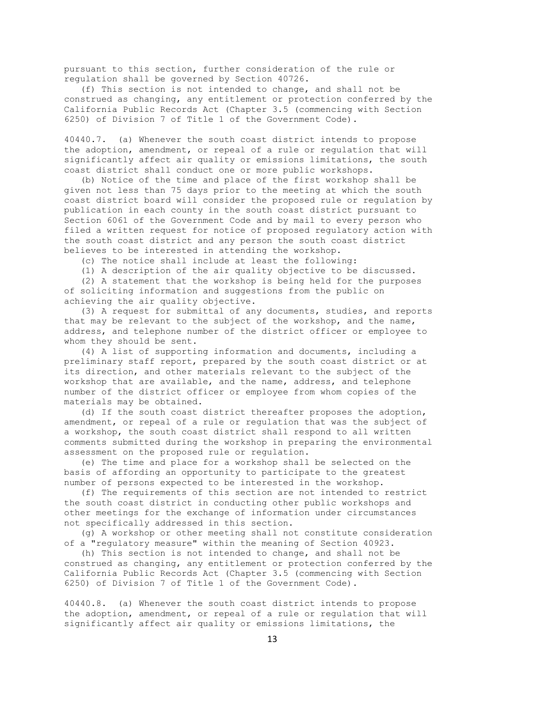pursuant to this section, further consideration of the rule or regulation shall be governed by Section 40726.

 (f) This section is not intended to change, and shall not be construed as changing, any entitlement or protection conferred by the California Public Records Act (Chapter 3.5 (commencing with Section 6250) of Division 7 of Title 1 of the Government Code).

40440.7. (a) Whenever the south coast district intends to propose the adoption, amendment, or repeal of a rule or regulation that will significantly affect air quality or emissions limitations, the south coast district shall conduct one or more public workshops.

 (b) Notice of the time and place of the first workshop shall be given not less than 75 days prior to the meeting at which the south coast district board will consider the proposed rule or regulation by publication in each county in the south coast district pursuant to Section 6061 of the Government Code and by mail to every person who filed a written request for notice of proposed regulatory action with the south coast district and any person the south coast district believes to be interested in attending the workshop.

(c) The notice shall include at least the following:

(1) A description of the air quality objective to be discussed.

 (2) A statement that the workshop is being held for the purposes of soliciting information and suggestions from the public on achieving the air quality objective.

 (3) A request for submittal of any documents, studies, and reports that may be relevant to the subject of the workshop, and the name, address, and telephone number of the district officer or employee to whom they should be sent.

 (4) A list of supporting information and documents, including a preliminary staff report, prepared by the south coast district or at its direction, and other materials relevant to the subject of the workshop that are available, and the name, address, and telephone number of the district officer or employee from whom copies of the materials may be obtained.

 (d) If the south coast district thereafter proposes the adoption, amendment, or repeal of a rule or regulation that was the subject of a workshop, the south coast district shall respond to all written comments submitted during the workshop in preparing the environmental assessment on the proposed rule or regulation.

 (e) The time and place for a workshop shall be selected on the basis of affording an opportunity to participate to the greatest number of persons expected to be interested in the workshop.

 (f) The requirements of this section are not intended to restrict the south coast district in conducting other public workshops and other meetings for the exchange of information under circumstances not specifically addressed in this section.

 (g) A workshop or other meeting shall not constitute consideration of a "regulatory measure" within the meaning of Section 40923.

 (h) This section is not intended to change, and shall not be construed as changing, any entitlement or protection conferred by the California Public Records Act (Chapter 3.5 (commencing with Section 6250) of Division 7 of Title 1 of the Government Code).

40440.8. (a) Whenever the south coast district intends to propose the adoption, amendment, or repeal of a rule or regulation that will significantly affect air quality or emissions limitations, the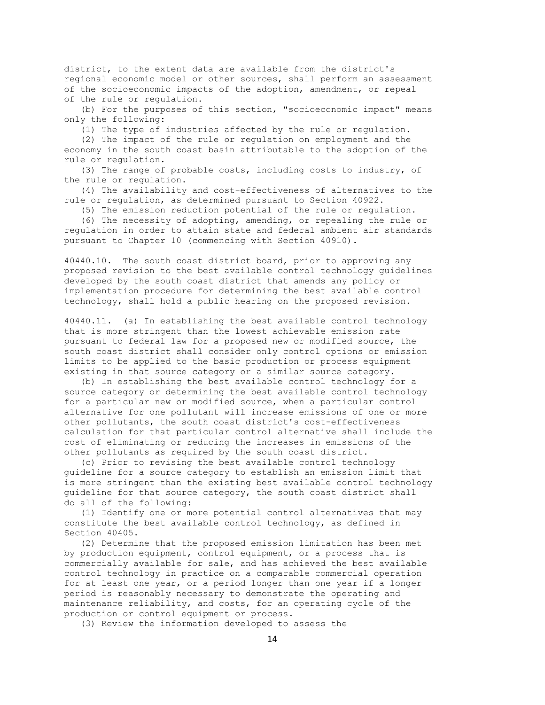district, to the extent data are available from the district's regional economic model or other sources, shall perform an assessment of the socioeconomic impacts of the adoption, amendment, or repeal of the rule or regulation.

 (b) For the purposes of this section, "socioeconomic impact" means only the following:

(1) The type of industries affected by the rule or regulation.

 (2) The impact of the rule or regulation on employment and the economy in the south coast basin attributable to the adoption of the rule or regulation.

 (3) The range of probable costs, including costs to industry, of the rule or regulation.

 (4) The availability and cost-effectiveness of alternatives to the rule or regulation, as determined pursuant to Section 40922.

(5) The emission reduction potential of the rule or regulation.

 (6) The necessity of adopting, amending, or repealing the rule or regulation in order to attain state and federal ambient air standards pursuant to Chapter 10 (commencing with Section 40910).

40440.10. The south coast district board, prior to approving any proposed revision to the best available control technology guidelines developed by the south coast district that amends any policy or implementation procedure for determining the best available control technology, shall hold a public hearing on the proposed revision.

40440.11. (a) In establishing the best available control technology that is more stringent than the lowest achievable emission rate pursuant to federal law for a proposed new or modified source, the south coast district shall consider only control options or emission limits to be applied to the basic production or process equipment existing in that source category or a similar source category.

 (b) In establishing the best available control technology for a source category or determining the best available control technology for a particular new or modified source, when a particular control alternative for one pollutant will increase emissions of one or more other pollutants, the south coast district's cost-effectiveness calculation for that particular control alternative shall include the cost of eliminating or reducing the increases in emissions of the other pollutants as required by the south coast district.

 (c) Prior to revising the best available control technology guideline for a source category to establish an emission limit that is more stringent than the existing best available control technology guideline for that source category, the south coast district shall do all of the following:

 (1) Identify one or more potential control alternatives that may constitute the best available control technology, as defined in Section 40405.

 (2) Determine that the proposed emission limitation has been met by production equipment, control equipment, or a process that is commercially available for sale, and has achieved the best available control technology in practice on a comparable commercial operation for at least one year, or a period longer than one year if a longer period is reasonably necessary to demonstrate the operating and maintenance reliability, and costs, for an operating cycle of the production or control equipment or process.

(3) Review the information developed to assess the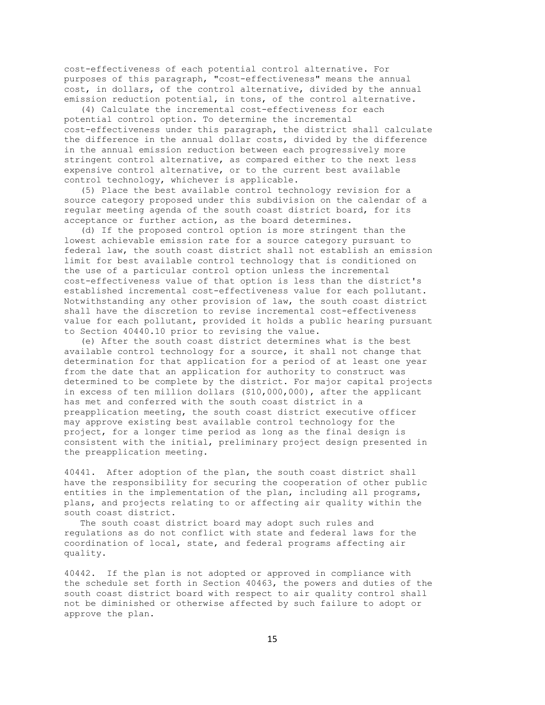cost-effectiveness of each potential control alternative. For purposes of this paragraph, "cost-effectiveness" means the annual cost, in dollars, of the control alternative, divided by the annual emission reduction potential, in tons, of the control alternative.

 (4) Calculate the incremental cost-effectiveness for each potential control option. To determine the incremental cost-effectiveness under this paragraph, the district shall calculate the difference in the annual dollar costs, divided by the difference in the annual emission reduction between each progressively more stringent control alternative, as compared either to the next less expensive control alternative, or to the current best available control technology, whichever is applicable.

 (5) Place the best available control technology revision for a source category proposed under this subdivision on the calendar of a regular meeting agenda of the south coast district board, for its acceptance or further action, as the board determines.

 (d) If the proposed control option is more stringent than the lowest achievable emission rate for a source category pursuant to federal law, the south coast district shall not establish an emission limit for best available control technology that is conditioned on the use of a particular control option unless the incremental cost-effectiveness value of that option is less than the district's established incremental cost-effectiveness value for each pollutant. Notwithstanding any other provision of law, the south coast district shall have the discretion to revise incremental cost-effectiveness value for each pollutant, provided it holds a public hearing pursuant to Section 40440.10 prior to revising the value.

 (e) After the south coast district determines what is the best available control technology for a source, it shall not change that determination for that application for a period of at least one year from the date that an application for authority to construct was determined to be complete by the district. For major capital projects in excess of ten million dollars (\$10,000,000), after the applicant has met and conferred with the south coast district in a preapplication meeting, the south coast district executive officer may approve existing best available control technology for the project, for a longer time period as long as the final design is consistent with the initial, preliminary project design presented in the preapplication meeting.

40441. After adoption of the plan, the south coast district shall have the responsibility for securing the cooperation of other public entities in the implementation of the plan, including all programs, plans, and projects relating to or affecting air quality within the south coast district.

 The south coast district board may adopt such rules and regulations as do not conflict with state and federal laws for the coordination of local, state, and federal programs affecting air quality.

40442. If the plan is not adopted or approved in compliance with the schedule set forth in Section 40463, the powers and duties of the south coast district board with respect to air quality control shall not be diminished or otherwise affected by such failure to adopt or approve the plan.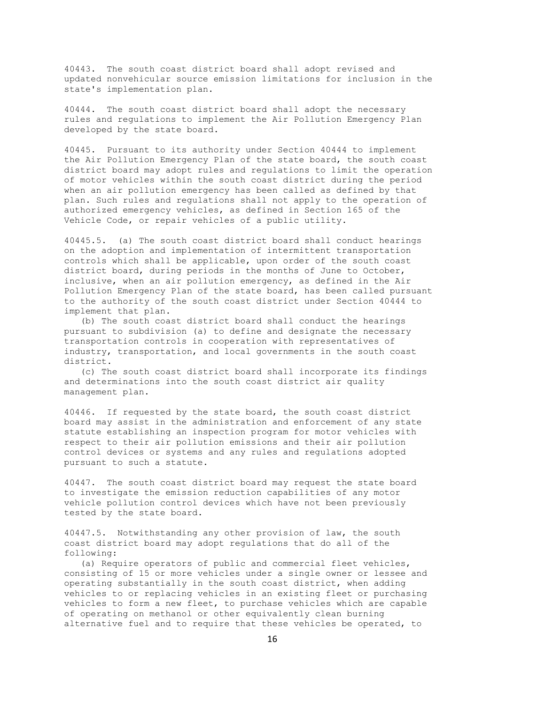40443. The south coast district board shall adopt revised and updated nonvehicular source emission limitations for inclusion in the state's implementation plan.

40444. The south coast district board shall adopt the necessary rules and regulations to implement the Air Pollution Emergency Plan developed by the state board.

40445. Pursuant to its authority under Section 40444 to implement the Air Pollution Emergency Plan of the state board, the south coast district board may adopt rules and regulations to limit the operation of motor vehicles within the south coast district during the period when an air pollution emergency has been called as defined by that plan. Such rules and regulations shall not apply to the operation of authorized emergency vehicles, as defined in Section 165 of the Vehicle Code, or repair vehicles of a public utility.

40445.5. (a) The south coast district board shall conduct hearings on the adoption and implementation of intermittent transportation controls which shall be applicable, upon order of the south coast district board, during periods in the months of June to October, inclusive, when an air pollution emergency, as defined in the Air Pollution Emergency Plan of the state board, has been called pursuant to the authority of the south coast district under Section 40444 to implement that plan.

 (b) The south coast district board shall conduct the hearings pursuant to subdivision (a) to define and designate the necessary transportation controls in cooperation with representatives of industry, transportation, and local governments in the south coast district.

 (c) The south coast district board shall incorporate its findings and determinations into the south coast district air quality management plan.

40446. If requested by the state board, the south coast district board may assist in the administration and enforcement of any state statute establishing an inspection program for motor vehicles with respect to their air pollution emissions and their air pollution control devices or systems and any rules and regulations adopted pursuant to such a statute.

40447. The south coast district board may request the state board to investigate the emission reduction capabilities of any motor vehicle pollution control devices which have not been previously tested by the state board.

40447.5. Notwithstanding any other provision of law, the south coast district board may adopt regulations that do all of the following:

 (a) Require operators of public and commercial fleet vehicles, consisting of 15 or more vehicles under a single owner or lessee and operating substantially in the south coast district, when adding vehicles to or replacing vehicles in an existing fleet or purchasing vehicles to form a new fleet, to purchase vehicles which are capable of operating on methanol or other equivalently clean burning alternative fuel and to require that these vehicles be operated, to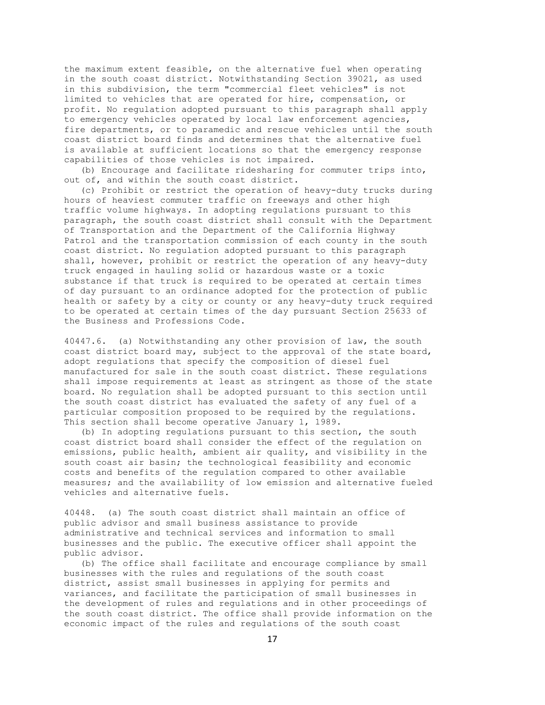the maximum extent feasible, on the alternative fuel when operating in the south coast district. Notwithstanding Section 39021, as used in this subdivision, the term "commercial fleet vehicles" is not limited to vehicles that are operated for hire, compensation, or profit. No regulation adopted pursuant to this paragraph shall apply to emergency vehicles operated by local law enforcement agencies, fire departments, or to paramedic and rescue vehicles until the south coast district board finds and determines that the alternative fuel is available at sufficient locations so that the emergency response capabilities of those vehicles is not impaired.

 (b) Encourage and facilitate ridesharing for commuter trips into, out of, and within the south coast district.

 (c) Prohibit or restrict the operation of heavy-duty trucks during hours of heaviest commuter traffic on freeways and other high traffic volume highways. In adopting regulations pursuant to this paragraph, the south coast district shall consult with the Department of Transportation and the Department of the California Highway Patrol and the transportation commission of each county in the south coast district. No regulation adopted pursuant to this paragraph shall, however, prohibit or restrict the operation of any heavy-duty truck engaged in hauling solid or hazardous waste or a toxic substance if that truck is required to be operated at certain times of day pursuant to an ordinance adopted for the protection of public health or safety by a city or county or any heavy-duty truck required to be operated at certain times of the day pursuant Section 25633 of the Business and Professions Code.

40447.6. (a) Notwithstanding any other provision of law, the south coast district board may, subject to the approval of the state board, adopt regulations that specify the composition of diesel fuel manufactured for sale in the south coast district. These regulations shall impose requirements at least as stringent as those of the state board. No regulation shall be adopted pursuant to this section until the south coast district has evaluated the safety of any fuel of a particular composition proposed to be required by the regulations. This section shall become operative January 1, 1989.

 (b) In adopting regulations pursuant to this section, the south coast district board shall consider the effect of the regulation on emissions, public health, ambient air quality, and visibility in the south coast air basin; the technological feasibility and economic costs and benefits of the regulation compared to other available measures; and the availability of low emission and alternative fueled vehicles and alternative fuels.

40448. (a) The south coast district shall maintain an office of public advisor and small business assistance to provide administrative and technical services and information to small businesses and the public. The executive officer shall appoint the public advisor.

 (b) The office shall facilitate and encourage compliance by small businesses with the rules and regulations of the south coast district, assist small businesses in applying for permits and variances, and facilitate the participation of small businesses in the development of rules and regulations and in other proceedings of the south coast district. The office shall provide information on the economic impact of the rules and regulations of the south coast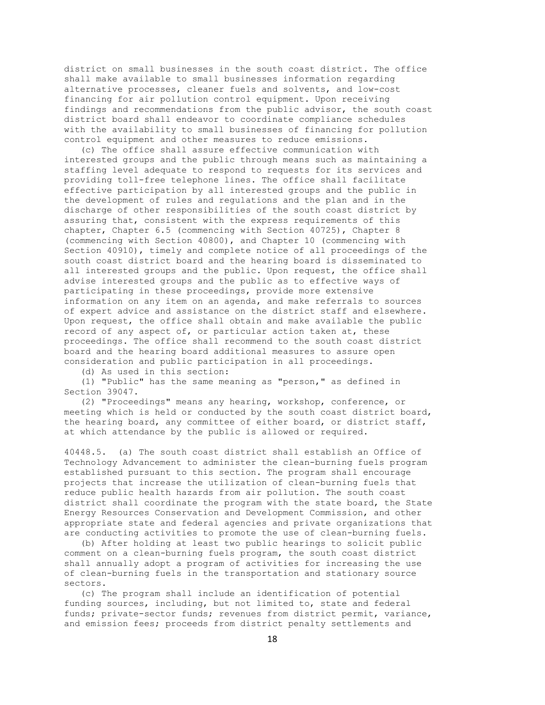district on small businesses in the south coast district. The office shall make available to small businesses information regarding alternative processes, cleaner fuels and solvents, and low-cost financing for air pollution control equipment. Upon receiving findings and recommendations from the public advisor, the south coast district board shall endeavor to coordinate compliance schedules with the availability to small businesses of financing for pollution control equipment and other measures to reduce emissions.

 (c) The office shall assure effective communication with interested groups and the public through means such as maintaining a staffing level adequate to respond to requests for its services and providing toll-free telephone lines. The office shall facilitate effective participation by all interested groups and the public in the development of rules and regulations and the plan and in the discharge of other responsibilities of the south coast district by assuring that, consistent with the express requirements of this chapter, Chapter 6.5 (commencing with Section 40725), Chapter 8 (commencing with Section 40800), and Chapter 10 (commencing with Section 40910), timely and complete notice of all proceedings of the south coast district board and the hearing board is disseminated to all interested groups and the public. Upon request, the office shall advise interested groups and the public as to effective ways of participating in these proceedings, provide more extensive information on any item on an agenda, and make referrals to sources of expert advice and assistance on the district staff and elsewhere. Upon request, the office shall obtain and make available the public record of any aspect of, or particular action taken at, these proceedings. The office shall recommend to the south coast district board and the hearing board additional measures to assure open consideration and public participation in all proceedings.

(d) As used in this section:

 (1) "Public" has the same meaning as "person," as defined in Section 39047.

 (2) "Proceedings" means any hearing, workshop, conference, or meeting which is held or conducted by the south coast district board, the hearing board, any committee of either board, or district staff, at which attendance by the public is allowed or required.

40448.5. (a) The south coast district shall establish an Office of Technology Advancement to administer the clean-burning fuels program established pursuant to this section. The program shall encourage projects that increase the utilization of clean-burning fuels that reduce public health hazards from air pollution. The south coast district shall coordinate the program with the state board, the State Energy Resources Conservation and Development Commission, and other appropriate state and federal agencies and private organizations that are conducting activities to promote the use of clean-burning fuels.

 (b) After holding at least two public hearings to solicit public comment on a clean-burning fuels program, the south coast district shall annually adopt a program of activities for increasing the use of clean-burning fuels in the transportation and stationary source sectors.

 (c) The program shall include an identification of potential funding sources, including, but not limited to, state and federal funds; private-sector funds; revenues from district permit, variance, and emission fees; proceeds from district penalty settlements and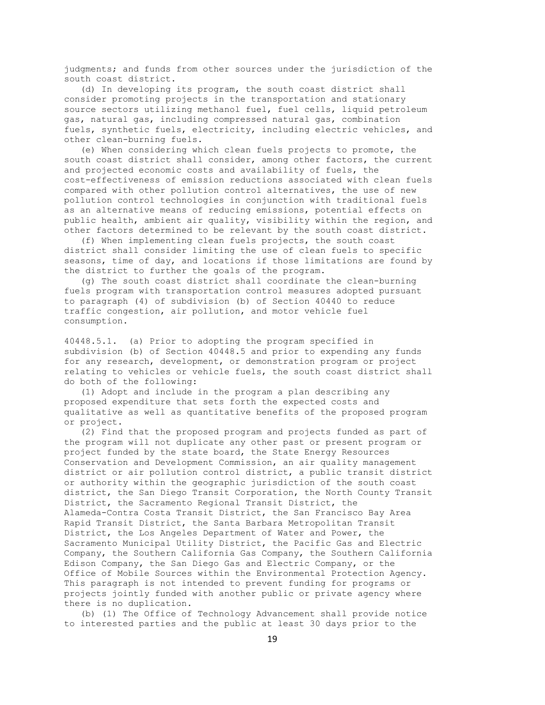judgments; and funds from other sources under the jurisdiction of the south coast district.

 (d) In developing its program, the south coast district shall consider promoting projects in the transportation and stationary source sectors utilizing methanol fuel, fuel cells, liquid petroleum gas, natural gas, including compressed natural gas, combination fuels, synthetic fuels, electricity, including electric vehicles, and other clean-burning fuels.

 (e) When considering which clean fuels projects to promote, the south coast district shall consider, among other factors, the current and projected economic costs and availability of fuels, the cost-effectiveness of emission reductions associated with clean fuels compared with other pollution control alternatives, the use of new pollution control technologies in conjunction with traditional fuels as an alternative means of reducing emissions, potential effects on public health, ambient air quality, visibility within the region, and other factors determined to be relevant by the south coast district.

 (f) When implementing clean fuels projects, the south coast district shall consider limiting the use of clean fuels to specific seasons, time of day, and locations if those limitations are found by the district to further the goals of the program.

 (g) The south coast district shall coordinate the clean-burning fuels program with transportation control measures adopted pursuant to paragraph (4) of subdivision (b) of Section 40440 to reduce traffic congestion, air pollution, and motor vehicle fuel consumption.

40448.5.1. (a) Prior to adopting the program specified in subdivision (b) of Section 40448.5 and prior to expending any funds for any research, development, or demonstration program or project relating to vehicles or vehicle fuels, the south coast district shall do both of the following:

 (1) Adopt and include in the program a plan describing any proposed expenditure that sets forth the expected costs and qualitative as well as quantitative benefits of the proposed program or project.

 (2) Find that the proposed program and projects funded as part of the program will not duplicate any other past or present program or project funded by the state board, the State Energy Resources Conservation and Development Commission, an air quality management district or air pollution control district, a public transit district or authority within the geographic jurisdiction of the south coast district, the San Diego Transit Corporation, the North County Transit District, the Sacramento Regional Transit District, the Alameda-Contra Costa Transit District, the San Francisco Bay Area Rapid Transit District, the Santa Barbara Metropolitan Transit District, the Los Angeles Department of Water and Power, the Sacramento Municipal Utility District, the Pacific Gas and Electric Company, the Southern California Gas Company, the Southern California Edison Company, the San Diego Gas and Electric Company, or the Office of Mobile Sources within the Environmental Protection Agency. This paragraph is not intended to prevent funding for programs or projects jointly funded with another public or private agency where there is no duplication.

 (b) (1) The Office of Technology Advancement shall provide notice to interested parties and the public at least 30 days prior to the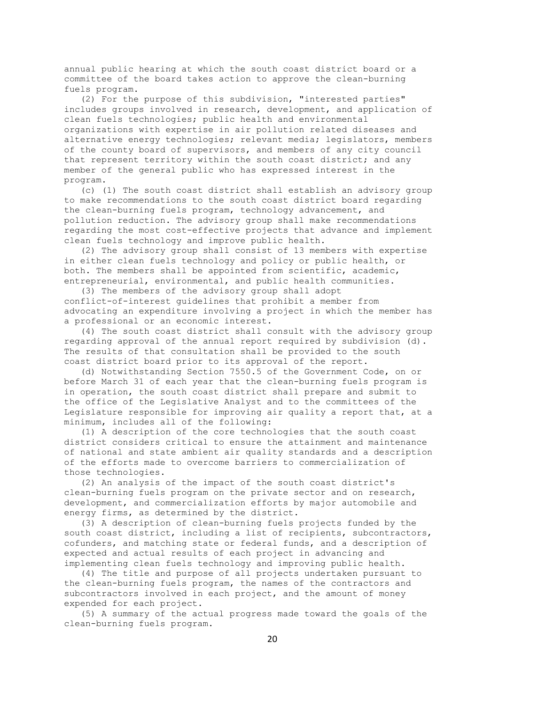annual public hearing at which the south coast district board or a committee of the board takes action to approve the clean-burning fuels program.

 (2) For the purpose of this subdivision, "interested parties" includes groups involved in research, development, and application of clean fuels technologies; public health and environmental organizations with expertise in air pollution related diseases and alternative energy technologies; relevant media; legislators, members of the county board of supervisors, and members of any city council that represent territory within the south coast district; and any member of the general public who has expressed interest in the program.

 (c) (1) The south coast district shall establish an advisory group to make recommendations to the south coast district board regarding the clean-burning fuels program, technology advancement, and pollution reduction. The advisory group shall make recommendations regarding the most cost-effective projects that advance and implement clean fuels technology and improve public health.

 (2) The advisory group shall consist of 13 members with expertise in either clean fuels technology and policy or public health, or both. The members shall be appointed from scientific, academic, entrepreneurial, environmental, and public health communities.

 (3) The members of the advisory group shall adopt conflict-of-interest guidelines that prohibit a member from advocating an expenditure involving a project in which the member has a professional or an economic interest.

 (4) The south coast district shall consult with the advisory group regarding approval of the annual report required by subdivision (d). The results of that consultation shall be provided to the south coast district board prior to its approval of the report.

 (d) Notwithstanding Section 7550.5 of the Government Code, on or before March 31 of each year that the clean-burning fuels program is in operation, the south coast district shall prepare and submit to the office of the Legislative Analyst and to the committees of the Legislature responsible for improving air quality a report that, at a minimum, includes all of the following:

 (1) A description of the core technologies that the south coast district considers critical to ensure the attainment and maintenance of national and state ambient air quality standards and a description of the efforts made to overcome barriers to commercialization of those technologies.

 (2) An analysis of the impact of the south coast district's clean-burning fuels program on the private sector and on research, development, and commercialization efforts by major automobile and energy firms, as determined by the district.

 (3) A description of clean-burning fuels projects funded by the south coast district, including a list of recipients, subcontractors, cofunders, and matching state or federal funds, and a description of expected and actual results of each project in advancing and implementing clean fuels technology and improving public health.

 (4) The title and purpose of all projects undertaken pursuant to the clean-burning fuels program, the names of the contractors and subcontractors involved in each project, and the amount of money expended for each project.

 (5) A summary of the actual progress made toward the goals of the clean-burning fuels program.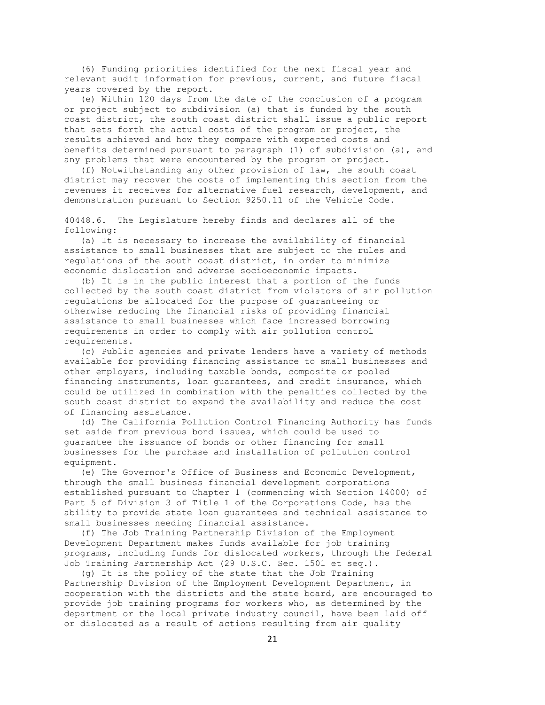(6) Funding priorities identified for the next fiscal year and relevant audit information for previous, current, and future fiscal years covered by the report.

 (e) Within 120 days from the date of the conclusion of a program or project subject to subdivision (a) that is funded by the south coast district, the south coast district shall issue a public report that sets forth the actual costs of the program or project, the results achieved and how they compare with expected costs and benefits determined pursuant to paragraph (1) of subdivision (a), and any problems that were encountered by the program or project.

 (f) Notwithstanding any other provision of law, the south coast district may recover the costs of implementing this section from the revenues it receives for alternative fuel research, development, and demonstration pursuant to Section 9250.11 of the Vehicle Code.

40448.6. The Legislature hereby finds and declares all of the following:

 (a) It is necessary to increase the availability of financial assistance to small businesses that are subject to the rules and regulations of the south coast district, in order to minimize economic dislocation and adverse socioeconomic impacts.

 (b) It is in the public interest that a portion of the funds collected by the south coast district from violators of air pollution regulations be allocated for the purpose of guaranteeing or otherwise reducing the financial risks of providing financial assistance to small businesses which face increased borrowing requirements in order to comply with air pollution control requirements.

 (c) Public agencies and private lenders have a variety of methods available for providing financing assistance to small businesses and other employers, including taxable bonds, composite or pooled financing instruments, loan guarantees, and credit insurance, which could be utilized in combination with the penalties collected by the south coast district to expand the availability and reduce the cost of financing assistance.

 (d) The California Pollution Control Financing Authority has funds set aside from previous bond issues, which could be used to guarantee the issuance of bonds or other financing for small businesses for the purchase and installation of pollution control equipment.

 (e) The Governor's Office of Business and Economic Development, through the small business financial development corporations established pursuant to Chapter 1 (commencing with Section 14000) of Part 5 of Division 3 of Title 1 of the Corporations Code, has the ability to provide state loan guarantees and technical assistance to small businesses needing financial assistance.

 (f) The Job Training Partnership Division of the Employment Development Department makes funds available for job training programs, including funds for dislocated workers, through the federal Job Training Partnership Act (29 U.S.C. Sec. 1501 et seq.).

 (g) It is the policy of the state that the Job Training Partnership Division of the Employment Development Department, in cooperation with the districts and the state board, are encouraged to provide job training programs for workers who, as determined by the department or the local private industry council, have been laid off or dislocated as a result of actions resulting from air quality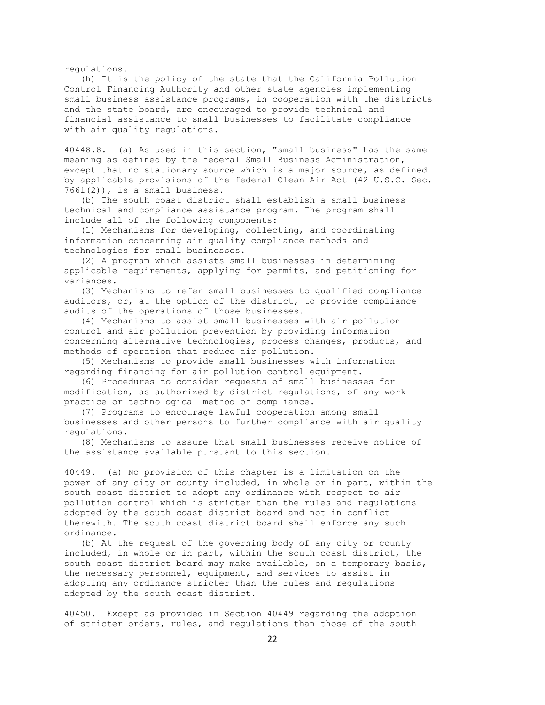regulations.

 (h) It is the policy of the state that the California Pollution Control Financing Authority and other state agencies implementing small business assistance programs, in cooperation with the districts and the state board, are encouraged to provide technical and financial assistance to small businesses to facilitate compliance with air quality regulations.

40448.8. (a) As used in this section, "small business" has the same meaning as defined by the federal Small Business Administration, except that no stationary source which is a major source, as defined by applicable provisions of the federal Clean Air Act (42 U.S.C. Sec. 7661(2)), is a small business.

 (b) The south coast district shall establish a small business technical and compliance assistance program. The program shall include all of the following components:

 (1) Mechanisms for developing, collecting, and coordinating information concerning air quality compliance methods and technologies for small businesses.

 (2) A program which assists small businesses in determining applicable requirements, applying for permits, and petitioning for variances.

 (3) Mechanisms to refer small businesses to qualified compliance auditors, or, at the option of the district, to provide compliance audits of the operations of those businesses.

 (4) Mechanisms to assist small businesses with air pollution control and air pollution prevention by providing information concerning alternative technologies, process changes, products, and methods of operation that reduce air pollution.

 (5) Mechanisms to provide small businesses with information regarding financing for air pollution control equipment.

 (6) Procedures to consider requests of small businesses for modification, as authorized by district regulations, of any work practice or technological method of compliance.

 (7) Programs to encourage lawful cooperation among small businesses and other persons to further compliance with air quality regulations.

 (8) Mechanisms to assure that small businesses receive notice of the assistance available pursuant to this section.

40449. (a) No provision of this chapter is a limitation on the power of any city or county included, in whole or in part, within the south coast district to adopt any ordinance with respect to air pollution control which is stricter than the rules and regulations adopted by the south coast district board and not in conflict therewith. The south coast district board shall enforce any such ordinance.

 (b) At the request of the governing body of any city or county included, in whole or in part, within the south coast district, the south coast district board may make available, on a temporary basis, the necessary personnel, equipment, and services to assist in adopting any ordinance stricter than the rules and regulations adopted by the south coast district.

40450. Except as provided in Section 40449 regarding the adoption of stricter orders, rules, and regulations than those of the south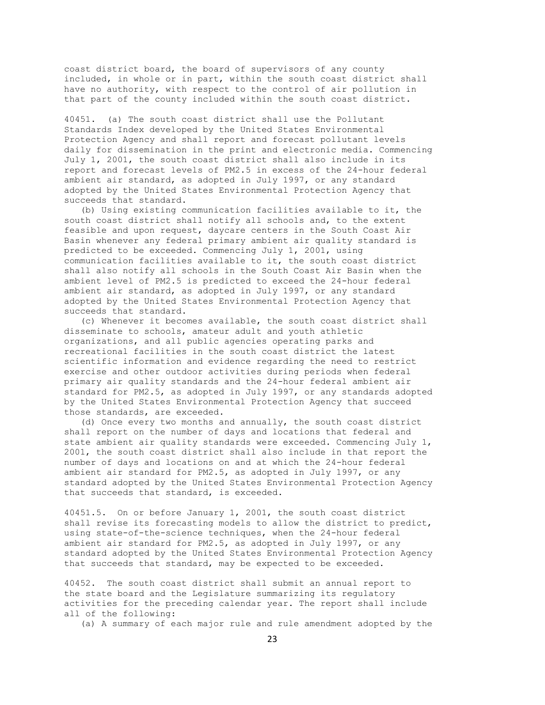coast district board, the board of supervisors of any county included, in whole or in part, within the south coast district shall have no authority, with respect to the control of air pollution in that part of the county included within the south coast district.

40451. (a) The south coast district shall use the Pollutant Standards Index developed by the United States Environmental Protection Agency and shall report and forecast pollutant levels daily for dissemination in the print and electronic media. Commencing July 1, 2001, the south coast district shall also include in its report and forecast levels of PM2.5 in excess of the 24-hour federal ambient air standard, as adopted in July 1997, or any standard adopted by the United States Environmental Protection Agency that succeeds that standard.

 (b) Using existing communication facilities available to it, the south coast district shall notify all schools and, to the extent feasible and upon request, daycare centers in the South Coast Air Basin whenever any federal primary ambient air quality standard is predicted to be exceeded. Commencing July 1, 2001, using communication facilities available to it, the south coast district shall also notify all schools in the South Coast Air Basin when the ambient level of PM2.5 is predicted to exceed the 24-hour federal ambient air standard, as adopted in July 1997, or any standard adopted by the United States Environmental Protection Agency that succeeds that standard.

 (c) Whenever it becomes available, the south coast district shall disseminate to schools, amateur adult and youth athletic organizations, and all public agencies operating parks and recreational facilities in the south coast district the latest scientific information and evidence regarding the need to restrict exercise and other outdoor activities during periods when federal primary air quality standards and the 24-hour federal ambient air standard for PM2.5, as adopted in July 1997, or any standards adopted by the United States Environmental Protection Agency that succeed those standards, are exceeded.

 (d) Once every two months and annually, the south coast district shall report on the number of days and locations that federal and state ambient air quality standards were exceeded. Commencing July 1, 2001, the south coast district shall also include in that report the number of days and locations on and at which the 24-hour federal ambient air standard for PM2.5, as adopted in July 1997, or any standard adopted by the United States Environmental Protection Agency that succeeds that standard, is exceeded.

40451.5. On or before January 1, 2001, the south coast district shall revise its forecasting models to allow the district to predict, using state-of-the-science techniques, when the 24-hour federal ambient air standard for PM2.5, as adopted in July 1997, or any standard adopted by the United States Environmental Protection Agency that succeeds that standard, may be expected to be exceeded.

40452. The south coast district shall submit an annual report to the state board and the Legislature summarizing its regulatory activities for the preceding calendar year. The report shall include all of the following:

(a) A summary of each major rule and rule amendment adopted by the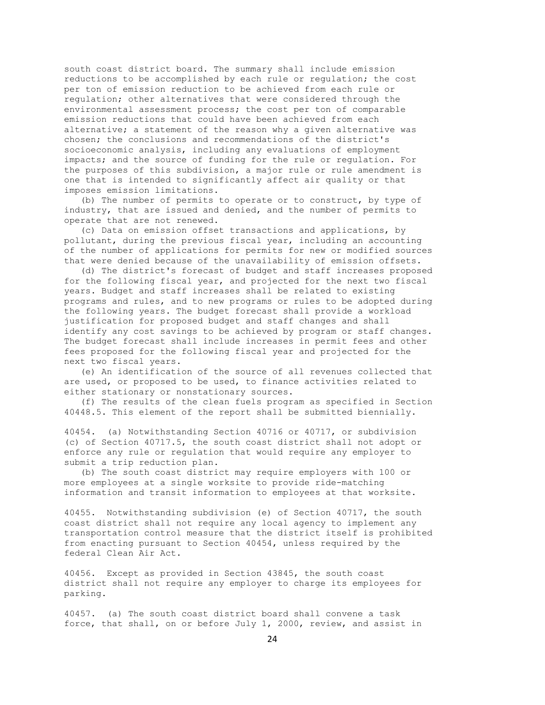south coast district board. The summary shall include emission reductions to be accomplished by each rule or regulation; the cost per ton of emission reduction to be achieved from each rule or regulation; other alternatives that were considered through the environmental assessment process; the cost per ton of comparable emission reductions that could have been achieved from each alternative; a statement of the reason why a given alternative was chosen; the conclusions and recommendations of the district's socioeconomic analysis, including any evaluations of employment impacts; and the source of funding for the rule or regulation. For the purposes of this subdivision, a major rule or rule amendment is one that is intended to significantly affect air quality or that imposes emission limitations.

 (b) The number of permits to operate or to construct, by type of industry, that are issued and denied, and the number of permits to operate that are not renewed.

 (c) Data on emission offset transactions and applications, by pollutant, during the previous fiscal year, including an accounting of the number of applications for permits for new or modified sources that were denied because of the unavailability of emission offsets.

 (d) The district's forecast of budget and staff increases proposed for the following fiscal year, and projected for the next two fiscal years. Budget and staff increases shall be related to existing programs and rules, and to new programs or rules to be adopted during the following years. The budget forecast shall provide a workload justification for proposed budget and staff changes and shall identify any cost savings to be achieved by program or staff changes. The budget forecast shall include increases in permit fees and other fees proposed for the following fiscal year and projected for the next two fiscal years.

 (e) An identification of the source of all revenues collected that are used, or proposed to be used, to finance activities related to either stationary or nonstationary sources.

 (f) The results of the clean fuels program as specified in Section 40448.5. This element of the report shall be submitted biennially.

40454. (a) Notwithstanding Section 40716 or 40717, or subdivision (c) of Section 40717.5, the south coast district shall not adopt or enforce any rule or regulation that would require any employer to submit a trip reduction plan.

 (b) The south coast district may require employers with 100 or more employees at a single worksite to provide ride-matching information and transit information to employees at that worksite.

40455. Notwithstanding subdivision (e) of Section 40717, the south coast district shall not require any local agency to implement any transportation control measure that the district itself is prohibited from enacting pursuant to Section 40454, unless required by the federal Clean Air Act.

40456. Except as provided in Section 43845, the south coast district shall not require any employer to charge its employees for parking.

40457. (a) The south coast district board shall convene a task force, that shall, on or before July 1, 2000, review, and assist in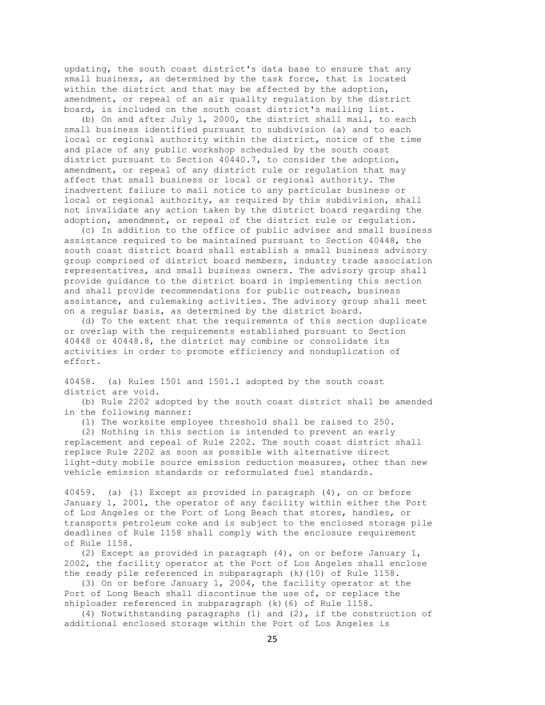updating, the south coast district's data base to ensure that any small business, as determined by the task force, that is located within the district and that may be affected by the adoption, amendment, or repeal of an air quality regulation by the district board, is included on the south coast district's mailing list.

 (b) On and after July 1, 2000, the district shall mail, to each small business identified pursuant to subdivision (a) and to each local or regional authority within the district, notice of the time and place of any public workshop scheduled by the south coast district pursuant to Section 40440.7, to consider the adoption, amendment, or repeal of any district rule or regulation that may affect that small business or local or regional authority. The inadvertent failure to mail notice to any particular business or local or regional authority, as required by this subdivision, shall not invalidate any action taken by the district board regarding the adoption, amendment, or repeal of the district rule or regulation.

 (c) In addition to the office of public adviser and small business assistance required to be maintained pursuant to Section 40448, the south coast district board shall establish a small business advisory group comprised of district board members, industry trade association representatives, and small business owners. The advisory group shall provide guidance to the district board in implementing this section and shall provide recommendations for public outreach, business assistance, and rulemaking activities. The advisory group shall meet on a regular basis, as determined by the district board.

 (d) To the extent that the requirements of this section duplicate or overlap with the requirements established pursuant to Section 40448 or 40448.8, the district may combine or consolidate its activities in order to promote efficiency and nonduplication of effort.

40458. (a) Rules 1501 and 1501.1 adopted by the south coast district are void.

 (b) Rule 2202 adopted by the south coast district shall be amended in the following manner:

(1) The worksite employee threshold shall be raised to 250.

 (2) Nothing in this section is intended to prevent an early replacement and repeal of Rule 2202. The south coast district shall replace Rule 2202 as soon as possible with alternative direct light-duty mobile source emission reduction measures, other than new vehicle emission standards or reformulated fuel standards.

40459. (a) (1) Except as provided in paragraph (4), on or before January 1, 2001, the operator of any facility within either the Port of Los Angeles or the Port of Long Beach that stores, handles, or transports petroleum coke and is subject to the enclosed storage pile deadlines of Rule 1158 shall comply with the enclosure requirement of Rule 1158.

 (2) Except as provided in paragraph (4), on or before January 1, 2002, the facility operator at the Port of Los Angeles shall enclose the ready pile referenced in subparagraph (k)(10) of Rule 1158.

 (3) On or before January 1, 2004, the facility operator at the Port of Long Beach shall discontinue the use of, or replace the shiploader referenced in subparagraph (k)(6) of Rule 1158.

 (4) Notwithstanding paragraphs (1) and (2), if the construction of additional enclosed storage within the Port of Los Angeles is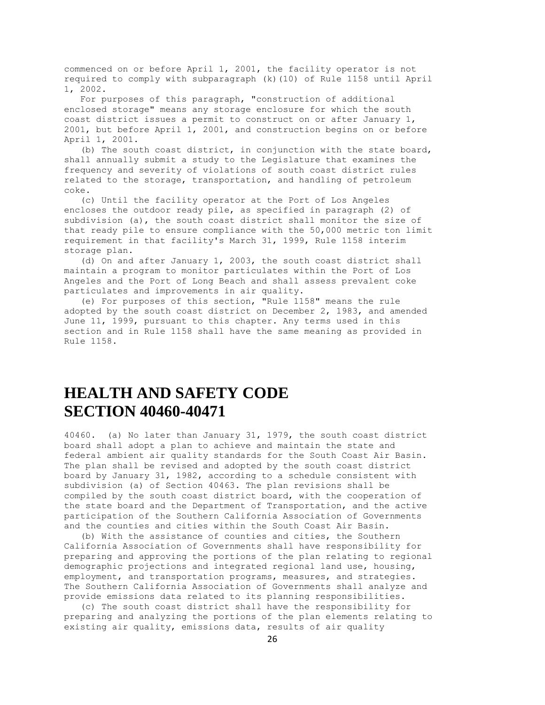commenced on or before April 1, 2001, the facility operator is not required to comply with subparagraph (k)(10) of Rule 1158 until April 1, 2002.

 For purposes of this paragraph, "construction of additional enclosed storage" means any storage enclosure for which the south coast district issues a permit to construct on or after January 1, 2001, but before April 1, 2001, and construction begins on or before April 1, 2001.

 (b) The south coast district, in conjunction with the state board, shall annually submit a study to the Legislature that examines the frequency and severity of violations of south coast district rules related to the storage, transportation, and handling of petroleum coke.

 (c) Until the facility operator at the Port of Los Angeles encloses the outdoor ready pile, as specified in paragraph (2) of subdivision (a), the south coast district shall monitor the size of that ready pile to ensure compliance with the 50,000 metric ton limit requirement in that facility's March 31, 1999, Rule 1158 interim storage plan.

 (d) On and after January 1, 2003, the south coast district shall maintain a program to monitor particulates within the Port of Los Angeles and the Port of Long Beach and shall assess prevalent coke particulates and improvements in air quality.

 (e) For purposes of this section, "Rule 1158" means the rule adopted by the south coast district on December 2, 1983, and amended June 11, 1999, pursuant to this chapter. Any terms used in this section and in Rule 1158 shall have the same meaning as provided in Rule 1158.

## **HEALTH AND SAFETY CODE SECTION 40460-40471**

40460. (a) No later than January 31, 1979, the south coast district board shall adopt a plan to achieve and maintain the state and federal ambient air quality standards for the South Coast Air Basin. The plan shall be revised and adopted by the south coast district board by January 31, 1982, according to a schedule consistent with subdivision (a) of Section 40463. The plan revisions shall be compiled by the south coast district board, with the cooperation of the state board and the Department of Transportation, and the active participation of the Southern California Association of Governments and the counties and cities within the South Coast Air Basin.

 (b) With the assistance of counties and cities, the Southern California Association of Governments shall have responsibility for preparing and approving the portions of the plan relating to regional demographic projections and integrated regional land use, housing, employment, and transportation programs, measures, and strategies. The Southern California Association of Governments shall analyze and provide emissions data related to its planning responsibilities.

 (c) The south coast district shall have the responsibility for preparing and analyzing the portions of the plan elements relating to existing air quality, emissions data, results of air quality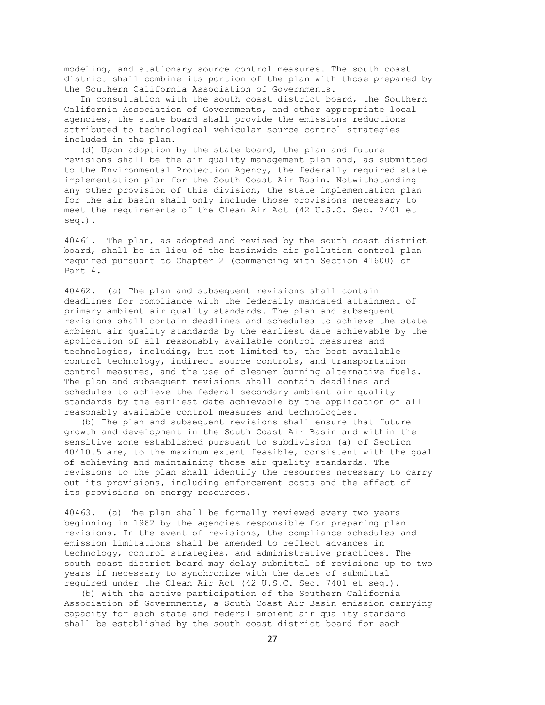modeling, and stationary source control measures. The south coast district shall combine its portion of the plan with those prepared by the Southern California Association of Governments.

 In consultation with the south coast district board, the Southern California Association of Governments, and other appropriate local agencies, the state board shall provide the emissions reductions attributed to technological vehicular source control strategies included in the plan.

 (d) Upon adoption by the state board, the plan and future revisions shall be the air quality management plan and, as submitted to the Environmental Protection Agency, the federally required state implementation plan for the South Coast Air Basin. Notwithstanding any other provision of this division, the state implementation plan for the air basin shall only include those provisions necessary to meet the requirements of the Clean Air Act (42 U.S.C. Sec. 7401 et seq.).

40461. The plan, as adopted and revised by the south coast district board, shall be in lieu of the basinwide air pollution control plan required pursuant to Chapter 2 (commencing with Section 41600) of Part 4.

40462. (a) The plan and subsequent revisions shall contain deadlines for compliance with the federally mandated attainment of primary ambient air quality standards. The plan and subsequent revisions shall contain deadlines and schedules to achieve the state ambient air quality standards by the earliest date achievable by the application of all reasonably available control measures and technologies, including, but not limited to, the best available control technology, indirect source controls, and transportation control measures, and the use of cleaner burning alternative fuels. The plan and subsequent revisions shall contain deadlines and schedules to achieve the federal secondary ambient air quality standards by the earliest date achievable by the application of all reasonably available control measures and technologies.

 (b) The plan and subsequent revisions shall ensure that future growth and development in the South Coast Air Basin and within the sensitive zone established pursuant to subdivision (a) of Section 40410.5 are, to the maximum extent feasible, consistent with the goal of achieving and maintaining those air quality standards. The revisions to the plan shall identify the resources necessary to carry out its provisions, including enforcement costs and the effect of its provisions on energy resources.

40463. (a) The plan shall be formally reviewed every two years beginning in 1982 by the agencies responsible for preparing plan revisions. In the event of revisions, the compliance schedules and emission limitations shall be amended to reflect advances in technology, control strategies, and administrative practices. The south coast district board may delay submittal of revisions up to two years if necessary to synchronize with the dates of submittal required under the Clean Air Act (42 U.S.C. Sec. 7401 et seq.).

 (b) With the active participation of the Southern California Association of Governments, a South Coast Air Basin emission carrying capacity for each state and federal ambient air quality standard shall be established by the south coast district board for each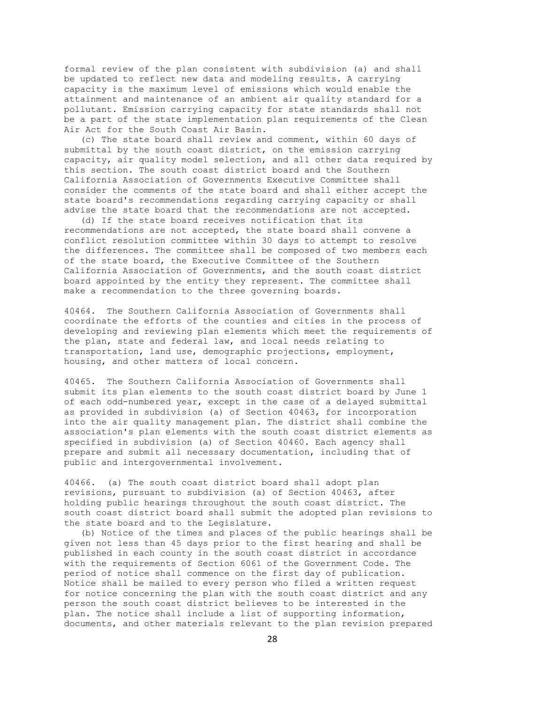formal review of the plan consistent with subdivision (a) and shall be updated to reflect new data and modeling results. A carrying capacity is the maximum level of emissions which would enable the attainment and maintenance of an ambient air quality standard for a pollutant. Emission carrying capacity for state standards shall not be a part of the state implementation plan requirements of the Clean Air Act for the South Coast Air Basin.

 (c) The state board shall review and comment, within 60 days of submittal by the south coast district, on the emission carrying capacity, air quality model selection, and all other data required by this section. The south coast district board and the Southern California Association of Governments Executive Committee shall consider the comments of the state board and shall either accept the state board's recommendations regarding carrying capacity or shall advise the state board that the recommendations are not accepted.

 (d) If the state board receives notification that its recommendations are not accepted, the state board shall convene a conflict resolution committee within 30 days to attempt to resolve the differences. The committee shall be composed of two members each of the state board, the Executive Committee of the Southern California Association of Governments, and the south coast district board appointed by the entity they represent. The committee shall make a recommendation to the three governing boards.

40464. The Southern California Association of Governments shall coordinate the efforts of the counties and cities in the process of developing and reviewing plan elements which meet the requirements of the plan, state and federal law, and local needs relating to transportation, land use, demographic projections, employment, housing, and other matters of local concern.

40465. The Southern California Association of Governments shall submit its plan elements to the south coast district board by June 1 of each odd-numbered year, except in the case of a delayed submittal as provided in subdivision (a) of Section 40463, for incorporation into the air quality management plan. The district shall combine the association's plan elements with the south coast district elements as specified in subdivision (a) of Section 40460. Each agency shall prepare and submit all necessary documentation, including that of public and intergovernmental involvement.

40466. (a) The south coast district board shall adopt plan revisions, pursuant to subdivision (a) of Section 40463, after holding public hearings throughout the south coast district. The south coast district board shall submit the adopted plan revisions to the state board and to the Legislature.

 (b) Notice of the times and places of the public hearings shall be given not less than 45 days prior to the first hearing and shall be published in each county in the south coast district in accordance with the requirements of Section 6061 of the Government Code. The period of notice shall commence on the first day of publication. Notice shall be mailed to every person who filed a written request for notice concerning the plan with the south coast district and any person the south coast district believes to be interested in the plan. The notice shall include a list of supporting information, documents, and other materials relevant to the plan revision prepared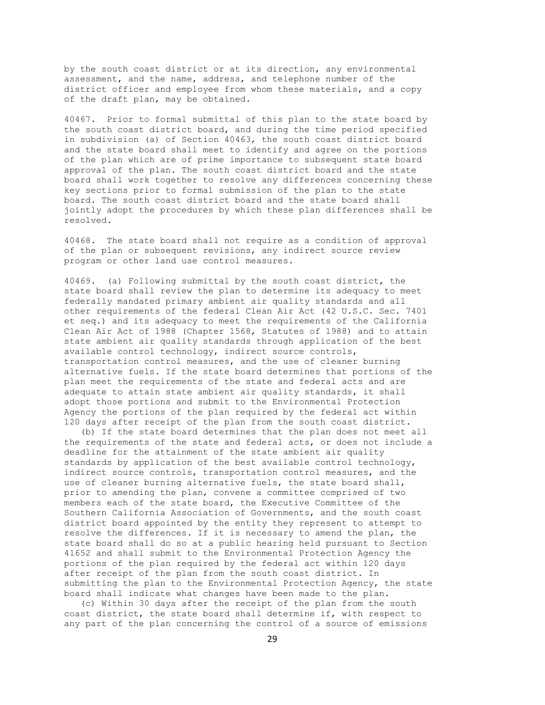by the south coast district or at its direction, any environmental assessment, and the name, address, and telephone number of the district officer and employee from whom these materials, and a copy of the draft plan, may be obtained.

40467. Prior to formal submittal of this plan to the state board by the south coast district board, and during the time period specified in subdivision (a) of Section 40463, the south coast district board and the state board shall meet to identify and agree on the portions of the plan which are of prime importance to subsequent state board approval of the plan. The south coast district board and the state board shall work together to resolve any differences concerning these key sections prior to formal submission of the plan to the state board. The south coast district board and the state board shall jointly adopt the procedures by which these plan differences shall be resolved.

40468. The state board shall not require as a condition of approval of the plan or subsequent revisions, any indirect source review program or other land use control measures.

40469. (a) Following submittal by the south coast district, the state board shall review the plan to determine its adequacy to meet federally mandated primary ambient air quality standards and all other requirements of the federal Clean Air Act (42 U.S.C. Sec. 7401 et seq.) and its adequacy to meet the requirements of the California Clean Air Act of 1988 (Chapter 1568, Statutes of 1988) and to attain state ambient air quality standards through application of the best available control technology, indirect source controls, transportation control measures, and the use of cleaner burning alternative fuels. If the state board determines that portions of the plan meet the requirements of the state and federal acts and are adequate to attain state ambient air quality standards, it shall adopt those portions and submit to the Environmental Protection Agency the portions of the plan required by the federal act within 120 days after receipt of the plan from the south coast district.

 (b) If the state board determines that the plan does not meet all the requirements of the state and federal acts, or does not include a deadline for the attainment of the state ambient air quality standards by application of the best available control technology, indirect source controls, transportation control measures, and the use of cleaner burning alternative fuels, the state board shall, prior to amending the plan, convene a committee comprised of two members each of the state board, the Executive Committee of the Southern California Association of Governments, and the south coast district board appointed by the entity they represent to attempt to resolve the differences. If it is necessary to amend the plan, the state board shall do so at a public hearing held pursuant to Section 41652 and shall submit to the Environmental Protection Agency the portions of the plan required by the federal act within 120 days after receipt of the plan from the south coast district. In submitting the plan to the Environmental Protection Agency, the state board shall indicate what changes have been made to the plan.

 (c) Within 30 days after the receipt of the plan from the south coast district, the state board shall determine if, with respect to any part of the plan concerning the control of a source of emissions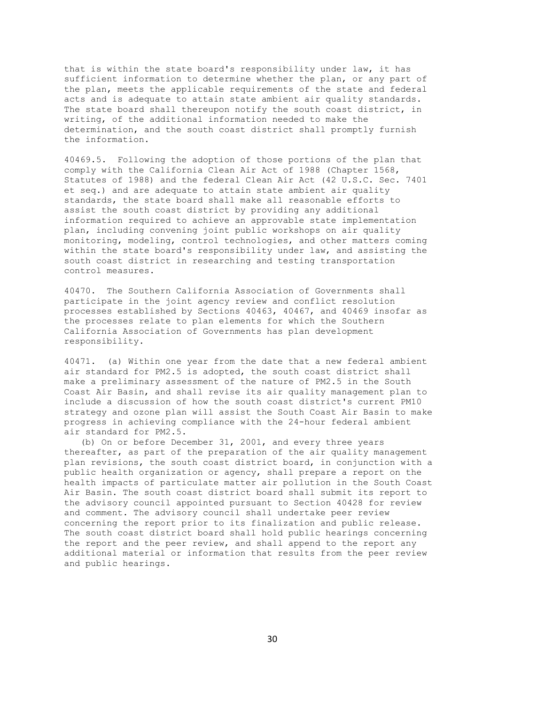that is within the state board's responsibility under law, it has sufficient information to determine whether the plan, or any part of the plan, meets the applicable requirements of the state and federal acts and is adequate to attain state ambient air quality standards. The state board shall thereupon notify the south coast district, in writing, of the additional information needed to make the determination, and the south coast district shall promptly furnish the information.

40469.5. Following the adoption of those portions of the plan that comply with the California Clean Air Act of 1988 (Chapter 1568, Statutes of 1988) and the federal Clean Air Act (42 U.S.C. Sec. 7401 et seq.) and are adequate to attain state ambient air quality standards, the state board shall make all reasonable efforts to assist the south coast district by providing any additional information required to achieve an approvable state implementation plan, including convening joint public workshops on air quality monitoring, modeling, control technologies, and other matters coming within the state board's responsibility under law, and assisting the south coast district in researching and testing transportation control measures.

40470. The Southern California Association of Governments shall participate in the joint agency review and conflict resolution processes established by Sections 40463, 40467, and 40469 insofar as the processes relate to plan elements for which the Southern California Association of Governments has plan development responsibility.

40471. (a) Within one year from the date that a new federal ambient air standard for PM2.5 is adopted, the south coast district shall make a preliminary assessment of the nature of PM2.5 in the South Coast Air Basin, and shall revise its air quality management plan to include a discussion of how the south coast district's current PM10 strategy and ozone plan will assist the South Coast Air Basin to make progress in achieving compliance with the 24-hour federal ambient air standard for PM2.5.

 (b) On or before December 31, 2001, and every three years thereafter, as part of the preparation of the air quality management plan revisions, the south coast district board, in conjunction with a public health organization or agency, shall prepare a report on the health impacts of particulate matter air pollution in the South Coast Air Basin. The south coast district board shall submit its report to the advisory council appointed pursuant to Section 40428 for review and comment. The advisory council shall undertake peer review concerning the report prior to its finalization and public release. The south coast district board shall hold public hearings concerning the report and the peer review, and shall append to the report any additional material or information that results from the peer review and public hearings.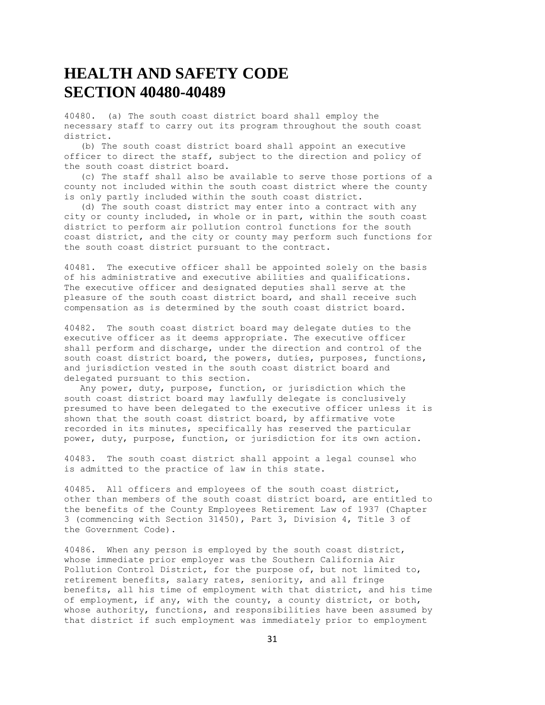### **HEALTH AND SAFETY CODE SECTION 40480-40489**

40480. (a) The south coast district board shall employ the necessary staff to carry out its program throughout the south coast district.

 (b) The south coast district board shall appoint an executive officer to direct the staff, subject to the direction and policy of the south coast district board.

 (c) The staff shall also be available to serve those portions of a county not included within the south coast district where the county is only partly included within the south coast district.

 (d) The south coast district may enter into a contract with any city or county included, in whole or in part, within the south coast district to perform air pollution control functions for the south coast district, and the city or county may perform such functions for the south coast district pursuant to the contract.

40481. The executive officer shall be appointed solely on the basis of his administrative and executive abilities and qualifications. The executive officer and designated deputies shall serve at the pleasure of the south coast district board, and shall receive such compensation as is determined by the south coast district board.

40482. The south coast district board may delegate duties to the executive officer as it deems appropriate. The executive officer shall perform and discharge, under the direction and control of the south coast district board, the powers, duties, purposes, functions, and jurisdiction vested in the south coast district board and delegated pursuant to this section.

 Any power, duty, purpose, function, or jurisdiction which the south coast district board may lawfully delegate is conclusively presumed to have been delegated to the executive officer unless it is shown that the south coast district board, by affirmative vote recorded in its minutes, specifically has reserved the particular power, duty, purpose, function, or jurisdiction for its own action.

40483. The south coast district shall appoint a legal counsel who is admitted to the practice of law in this state.

40485. All officers and employees of the south coast district, other than members of the south coast district board, are entitled to the benefits of the County Employees Retirement Law of 1937 (Chapter 3 (commencing with Section 31450), Part 3, Division 4, Title 3 of the Government Code).

40486. When any person is employed by the south coast district, whose immediate prior employer was the Southern California Air Pollution Control District, for the purpose of, but not limited to, retirement benefits, salary rates, seniority, and all fringe benefits, all his time of employment with that district, and his time of employment, if any, with the county, a county district, or both, whose authority, functions, and responsibilities have been assumed by that district if such employment was immediately prior to employment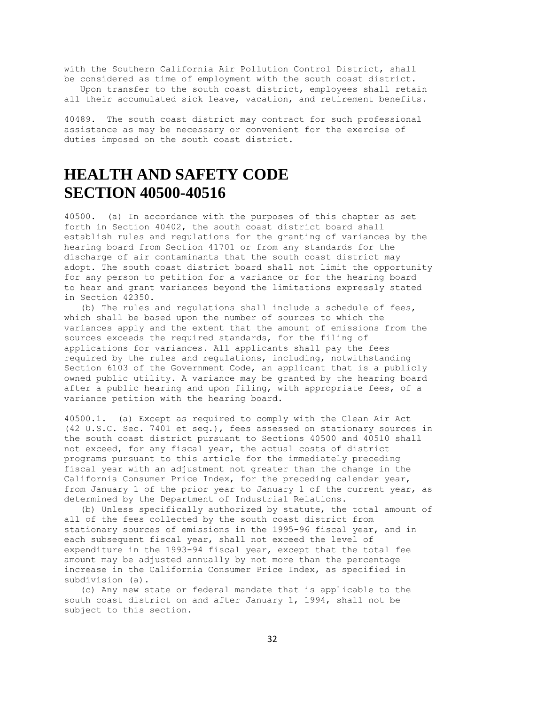with the Southern California Air Pollution Control District, shall be considered as time of employment with the south coast district.

 Upon transfer to the south coast district, employees shall retain all their accumulated sick leave, vacation, and retirement benefits.

40489. The south coast district may contract for such professional assistance as may be necessary or convenient for the exercise of duties imposed on the south coast district.

# **HEALTH AND SAFETY CODE SECTION 40500-40516**

40500. (a) In accordance with the purposes of this chapter as set forth in Section 40402, the south coast district board shall establish rules and regulations for the granting of variances by the hearing board from Section 41701 or from any standards for the discharge of air contaminants that the south coast district may adopt. The south coast district board shall not limit the opportunity for any person to petition for a variance or for the hearing board to hear and grant variances beyond the limitations expressly stated in Section 42350.

 (b) The rules and regulations shall include a schedule of fees, which shall be based upon the number of sources to which the variances apply and the extent that the amount of emissions from the sources exceeds the required standards, for the filing of applications for variances. All applicants shall pay the fees required by the rules and regulations, including, notwithstanding Section 6103 of the Government Code, an applicant that is a publicly owned public utility. A variance may be granted by the hearing board after a public hearing and upon filing, with appropriate fees, of a variance petition with the hearing board.

40500.1. (a) Except as required to comply with the Clean Air Act (42 U.S.C. Sec. 7401 et seq.), fees assessed on stationary sources in the south coast district pursuant to Sections 40500 and 40510 shall not exceed, for any fiscal year, the actual costs of district programs pursuant to this article for the immediately preceding fiscal year with an adjustment not greater than the change in the California Consumer Price Index, for the preceding calendar year, from January 1 of the prior year to January 1 of the current year, as determined by the Department of Industrial Relations.

 (b) Unless specifically authorized by statute, the total amount of all of the fees collected by the south coast district from stationary sources of emissions in the 1995-96 fiscal year, and in each subsequent fiscal year, shall not exceed the level of expenditure in the 1993-94 fiscal year, except that the total fee amount may be adjusted annually by not more than the percentage increase in the California Consumer Price Index, as specified in subdivision (a).

 (c) Any new state or federal mandate that is applicable to the south coast district on and after January 1, 1994, shall not be subject to this section.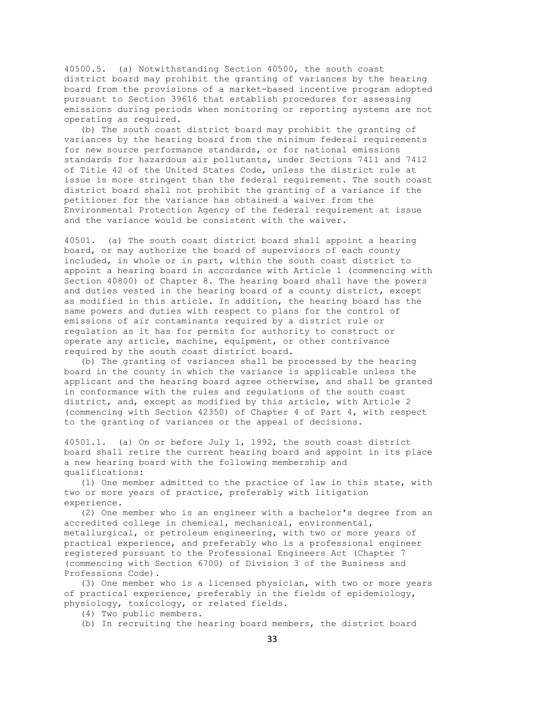40500.5. (a) Notwithstanding Section 40500, the south coast district board may prohibit the granting of variances by the hearing board from the provisions of a market-based incentive program adopted pursuant to Section 39616 that establish procedures for assessing emissions during periods when monitoring or reporting systems are not operating as required.

 (b) The south coast district board may prohibit the granting of variances by the hearing board from the minimum federal requirements for new source performance standards, or for national emissions standards for hazardous air pollutants, under Sections 7411 and 7412 of Title 42 of the United States Code, unless the district rule at issue is more stringent than the federal requirement. The south coast district board shall not prohibit the granting of a variance if the petitioner for the variance has obtained a waiver from the Environmental Protection Agency of the federal requirement at issue and the variance would be consistent with the waiver.

40501. (a) The south coast district board shall appoint a hearing board, or may authorize the board of supervisors of each county included, in whole or in part, within the south coast district to appoint a hearing board in accordance with Article 1 (commencing with Section 40800) of Chapter 8. The hearing board shall have the powers and duties vested in the hearing board of a county district, except as modified in this article. In addition, the hearing board has the same powers and duties with respect to plans for the control of emissions of air contaminants required by a district rule or regulation as it has for permits for authority to construct or operate any article, machine, equipment, or other contrivance required by the south coast district board.

 (b) The granting of variances shall be processed by the hearing board in the county in which the variance is applicable unless the applicant and the hearing board agree otherwise, and shall be granted in conformance with the rules and regulations of the south coast district, and, except as modified by this article, with Article 2 (commencing with Section 42350) of Chapter 4 of Part 4, with respect to the granting of variances or the appeal of decisions.

40501.1. (a) On or before July 1, 1992, the south coast district board shall retire the current hearing board and appoint in its place a new hearing board with the following membership and qualifications:

 (1) One member admitted to the practice of law in this state, with two or more years of practice, preferably with litigation experience.

 (2) One member who is an engineer with a bachelor's degree from an accredited college in chemical, mechanical, environmental, metallurgical, or petroleum engineering, with two or more years of practical experience, and preferably who is a professional engineer registered pursuant to the Professional Engineers Act (Chapter 7 (commencing with Section 6700) of Division 3 of the Business and Professions Code).

 (3) One member who is a licensed physician, with two or more years of practical experience, preferably in the fields of epidemiology, physiology, toxicology, or related fields.

(4) Two public members.

(b) In recruiting the hearing board members, the district board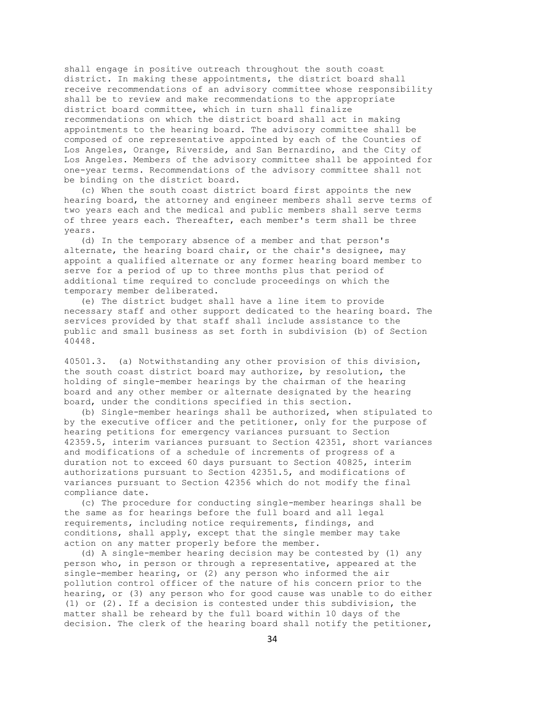shall engage in positive outreach throughout the south coast district. In making these appointments, the district board shall receive recommendations of an advisory committee whose responsibility shall be to review and make recommendations to the appropriate district board committee, which in turn shall finalize recommendations on which the district board shall act in making appointments to the hearing board. The advisory committee shall be composed of one representative appointed by each of the Counties of Los Angeles, Orange, Riverside, and San Bernardino, and the City of Los Angeles. Members of the advisory committee shall be appointed for one-year terms. Recommendations of the advisory committee shall not be binding on the district board.

 (c) When the south coast district board first appoints the new hearing board, the attorney and engineer members shall serve terms of two years each and the medical and public members shall serve terms of three years each. Thereafter, each member's term shall be three years.

 (d) In the temporary absence of a member and that person's alternate, the hearing board chair, or the chair's designee, may appoint a qualified alternate or any former hearing board member to serve for a period of up to three months plus that period of additional time required to conclude proceedings on which the temporary member deliberated.

 (e) The district budget shall have a line item to provide necessary staff and other support dedicated to the hearing board. The services provided by that staff shall include assistance to the public and small business as set forth in subdivision (b) of Section 40448.

40501.3. (a) Notwithstanding any other provision of this division, the south coast district board may authorize, by resolution, the holding of single-member hearings by the chairman of the hearing board and any other member or alternate designated by the hearing board, under the conditions specified in this section.

 (b) Single-member hearings shall be authorized, when stipulated to by the executive officer and the petitioner, only for the purpose of hearing petitions for emergency variances pursuant to Section 42359.5, interim variances pursuant to Section 42351, short variances and modifications of a schedule of increments of progress of a duration not to exceed 60 days pursuant to Section 40825, interim authorizations pursuant to Section 42351.5, and modifications of variances pursuant to Section 42356 which do not modify the final compliance date.

 (c) The procedure for conducting single-member hearings shall be the same as for hearings before the full board and all legal requirements, including notice requirements, findings, and conditions, shall apply, except that the single member may take action on any matter properly before the member.

 (d) A single-member hearing decision may be contested by (1) any person who, in person or through a representative, appeared at the single-member hearing, or (2) any person who informed the air pollution control officer of the nature of his concern prior to the hearing, or (3) any person who for good cause was unable to do either (1) or (2). If a decision is contested under this subdivision, the matter shall be reheard by the full board within 10 days of the decision. The clerk of the hearing board shall notify the petitioner,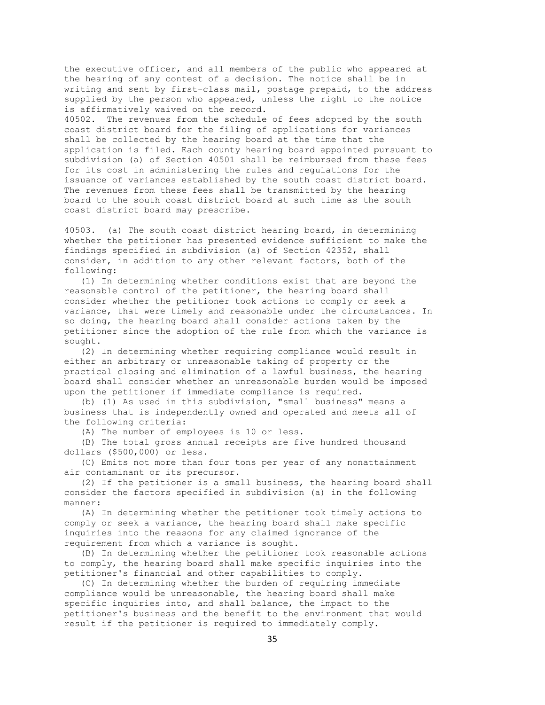the executive officer, and all members of the public who appeared at the hearing of any contest of a decision. The notice shall be in writing and sent by first-class mail, postage prepaid, to the address supplied by the person who appeared, unless the right to the notice is affirmatively waived on the record.

40502. The revenues from the schedule of fees adopted by the south coast district board for the filing of applications for variances shall be collected by the hearing board at the time that the application is filed. Each county hearing board appointed pursuant to subdivision (a) of Section 40501 shall be reimbursed from these fees for its cost in administering the rules and regulations for the issuance of variances established by the south coast district board. The revenues from these fees shall be transmitted by the hearing board to the south coast district board at such time as the south coast district board may prescribe.

40503. (a) The south coast district hearing board, in determining whether the petitioner has presented evidence sufficient to make the findings specified in subdivision (a) of Section 42352, shall consider, in addition to any other relevant factors, both of the following:

 (1) In determining whether conditions exist that are beyond the reasonable control of the petitioner, the hearing board shall consider whether the petitioner took actions to comply or seek a variance, that were timely and reasonable under the circumstances. In so doing, the hearing board shall consider actions taken by the petitioner since the adoption of the rule from which the variance is sought.

 (2) In determining whether requiring compliance would result in either an arbitrary or unreasonable taking of property or the practical closing and elimination of a lawful business, the hearing board shall consider whether an unreasonable burden would be imposed upon the petitioner if immediate compliance is required.

 (b) (1) As used in this subdivision, "small business" means a business that is independently owned and operated and meets all of the following criteria:

(A) The number of employees is 10 or less.

 (B) The total gross annual receipts are five hundred thousand dollars (\$500,000) or less.

 (C) Emits not more than four tons per year of any nonattainment air contaminant or its precursor.

 (2) If the petitioner is a small business, the hearing board shall consider the factors specified in subdivision (a) in the following manner:

 (A) In determining whether the petitioner took timely actions to comply or seek a variance, the hearing board shall make specific inquiries into the reasons for any claimed ignorance of the requirement from which a variance is sought.

 (B) In determining whether the petitioner took reasonable actions to comply, the hearing board shall make specific inquiries into the petitioner's financial and other capabilities to comply.

 (C) In determining whether the burden of requiring immediate compliance would be unreasonable, the hearing board shall make specific inquiries into, and shall balance, the impact to the petitioner's business and the benefit to the environment that would result if the petitioner is required to immediately comply.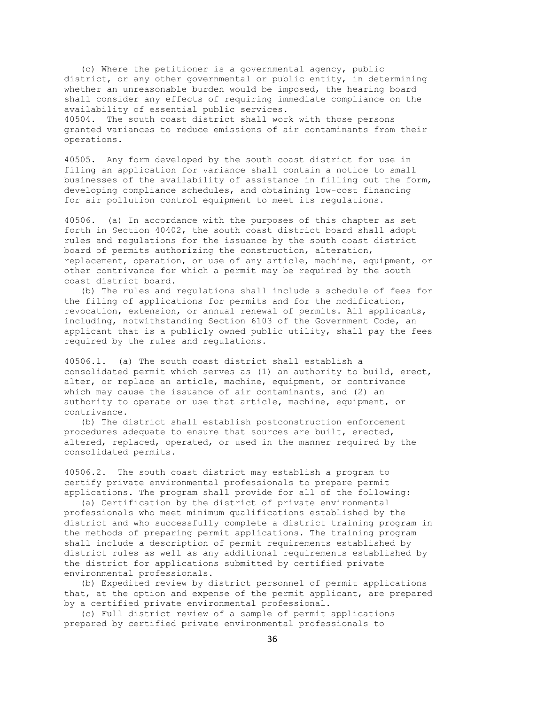(c) Where the petitioner is a governmental agency, public district, or any other governmental or public entity, in determining whether an unreasonable burden would be imposed, the hearing board shall consider any effects of requiring immediate compliance on the availability of essential public services. 40504. The south coast district shall work with those persons granted variances to reduce emissions of air contaminants from their

operations.

40505. Any form developed by the south coast district for use in filing an application for variance shall contain a notice to small businesses of the availability of assistance in filling out the form, developing compliance schedules, and obtaining low-cost financing for air pollution control equipment to meet its regulations.

40506. (a) In accordance with the purposes of this chapter as set forth in Section 40402, the south coast district board shall adopt rules and regulations for the issuance by the south coast district board of permits authorizing the construction, alteration, replacement, operation, or use of any article, machine, equipment, or other contrivance for which a permit may be required by the south coast district board.

 (b) The rules and regulations shall include a schedule of fees for the filing of applications for permits and for the modification, revocation, extension, or annual renewal of permits. All applicants, including, notwithstanding Section 6103 of the Government Code, an applicant that is a publicly owned public utility, shall pay the fees required by the rules and regulations.

40506.1. (a) The south coast district shall establish a consolidated permit which serves as (1) an authority to build, erect, alter, or replace an article, machine, equipment, or contrivance which may cause the issuance of air contaminants, and (2) an authority to operate or use that article, machine, equipment, or contrivance.

 (b) The district shall establish postconstruction enforcement procedures adequate to ensure that sources are built, erected, altered, replaced, operated, or used in the manner required by the consolidated permits.

40506.2. The south coast district may establish a program to certify private environmental professionals to prepare permit applications. The program shall provide for all of the following:

 (a) Certification by the district of private environmental professionals who meet minimum qualifications established by the district and who successfully complete a district training program in the methods of preparing permit applications. The training program shall include a description of permit requirements established by district rules as well as any additional requirements established by the district for applications submitted by certified private environmental professionals.

 (b) Expedited review by district personnel of permit applications that, at the option and expense of the permit applicant, are prepared by a certified private environmental professional.

 (c) Full district review of a sample of permit applications prepared by certified private environmental professionals to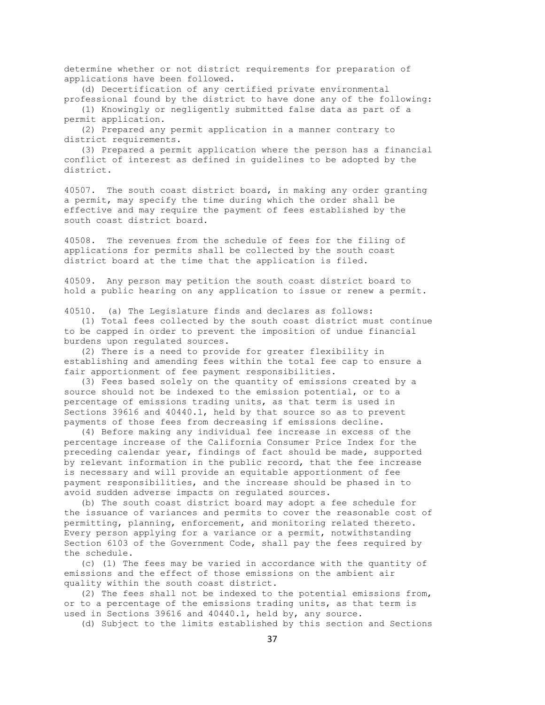determine whether or not district requirements for preparation of applications have been followed.

 (d) Decertification of any certified private environmental professional found by the district to have done any of the following:

 (1) Knowingly or negligently submitted false data as part of a permit application.

 (2) Prepared any permit application in a manner contrary to district requirements.

 (3) Prepared a permit application where the person has a financial conflict of interest as defined in guidelines to be adopted by the district.

40507. The south coast district board, in making any order granting a permit, may specify the time during which the order shall be effective and may require the payment of fees established by the south coast district board.

40508. The revenues from the schedule of fees for the filing of applications for permits shall be collected by the south coast district board at the time that the application is filed.

40509. Any person may petition the south coast district board to hold a public hearing on any application to issue or renew a permit.

40510. (a) The Legislature finds and declares as follows:

 (1) Total fees collected by the south coast district must continue to be capped in order to prevent the imposition of undue financial burdens upon regulated sources.

 (2) There is a need to provide for greater flexibility in establishing and amending fees within the total fee cap to ensure a fair apportionment of fee payment responsibilities.

 (3) Fees based solely on the quantity of emissions created by a source should not be indexed to the emission potential, or to a percentage of emissions trading units, as that term is used in Sections 39616 and 40440.1, held by that source so as to prevent payments of those fees from decreasing if emissions decline.

 (4) Before making any individual fee increase in excess of the percentage increase of the California Consumer Price Index for the preceding calendar year, findings of fact should be made, supported by relevant information in the public record, that the fee increase is necessary and will provide an equitable apportionment of fee payment responsibilities, and the increase should be phased in to avoid sudden adverse impacts on regulated sources.

 (b) The south coast district board may adopt a fee schedule for the issuance of variances and permits to cover the reasonable cost of permitting, planning, enforcement, and monitoring related thereto. Every person applying for a variance or a permit, notwithstanding Section 6103 of the Government Code, shall pay the fees required by the schedule.

 (c) (1) The fees may be varied in accordance with the quantity of emissions and the effect of those emissions on the ambient air quality within the south coast district.

 (2) The fees shall not be indexed to the potential emissions from, or to a percentage of the emissions trading units, as that term is used in Sections 39616 and 40440.1, held by, any source.

(d) Subject to the limits established by this section and Sections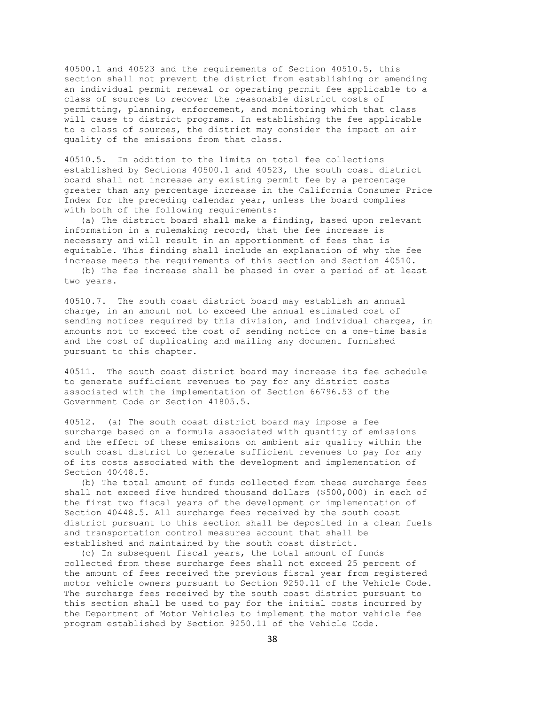40500.1 and 40523 and the requirements of Section 40510.5, this section shall not prevent the district from establishing or amending an individual permit renewal or operating permit fee applicable to a class of sources to recover the reasonable district costs of permitting, planning, enforcement, and monitoring which that class will cause to district programs. In establishing the fee applicable to a class of sources, the district may consider the impact on air quality of the emissions from that class.

40510.5. In addition to the limits on total fee collections established by Sections 40500.1 and 40523, the south coast district board shall not increase any existing permit fee by a percentage greater than any percentage increase in the California Consumer Price Index for the preceding calendar year, unless the board complies with both of the following requirements:

 (a) The district board shall make a finding, based upon relevant information in a rulemaking record, that the fee increase is necessary and will result in an apportionment of fees that is equitable. This finding shall include an explanation of why the fee increase meets the requirements of this section and Section 40510.

 (b) The fee increase shall be phased in over a period of at least two years.

40510.7. The south coast district board may establish an annual charge, in an amount not to exceed the annual estimated cost of sending notices required by this division, and individual charges, in amounts not to exceed the cost of sending notice on a one-time basis and the cost of duplicating and mailing any document furnished pursuant to this chapter.

40511. The south coast district board may increase its fee schedule to generate sufficient revenues to pay for any district costs associated with the implementation of Section 66796.53 of the Government Code or Section 41805.5.

40512. (a) The south coast district board may impose a fee surcharge based on a formula associated with quantity of emissions and the effect of these emissions on ambient air quality within the south coast district to generate sufficient revenues to pay for any of its costs associated with the development and implementation of Section 40448.5.

 (b) The total amount of funds collected from these surcharge fees shall not exceed five hundred thousand dollars (\$500,000) in each of the first two fiscal years of the development or implementation of Section 40448.5. All surcharge fees received by the south coast district pursuant to this section shall be deposited in a clean fuels and transportation control measures account that shall be established and maintained by the south coast district.

 (c) In subsequent fiscal years, the total amount of funds collected from these surcharge fees shall not exceed 25 percent of the amount of fees received the previous fiscal year from registered motor vehicle owners pursuant to Section 9250.11 of the Vehicle Code. The surcharge fees received by the south coast district pursuant to this section shall be used to pay for the initial costs incurred by the Department of Motor Vehicles to implement the motor vehicle fee program established by Section 9250.11 of the Vehicle Code.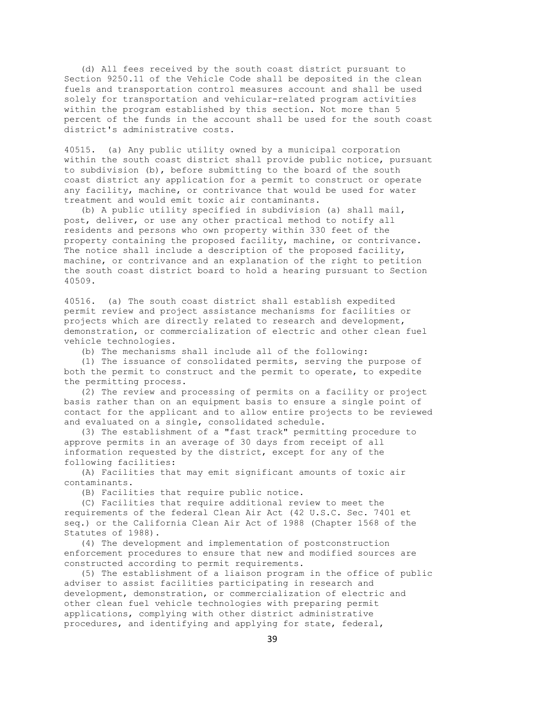(d) All fees received by the south coast district pursuant to Section 9250.11 of the Vehicle Code shall be deposited in the clean fuels and transportation control measures account and shall be used solely for transportation and vehicular-related program activities within the program established by this section. Not more than 5 percent of the funds in the account shall be used for the south coast district's administrative costs.

40515. (a) Any public utility owned by a municipal corporation within the south coast district shall provide public notice, pursuant to subdivision (b), before submitting to the board of the south coast district any application for a permit to construct or operate any facility, machine, or contrivance that would be used for water treatment and would emit toxic air contaminants.

 (b) A public utility specified in subdivision (a) shall mail, post, deliver, or use any other practical method to notify all residents and persons who own property within 330 feet of the property containing the proposed facility, machine, or contrivance. The notice shall include a description of the proposed facility, machine, or contrivance and an explanation of the right to petition the south coast district board to hold a hearing pursuant to Section 40509.

40516. (a) The south coast district shall establish expedited permit review and project assistance mechanisms for facilities or projects which are directly related to research and development, demonstration, or commercialization of electric and other clean fuel vehicle technologies.

(b) The mechanisms shall include all of the following:

 (1) The issuance of consolidated permits, serving the purpose of both the permit to construct and the permit to operate, to expedite the permitting process.

 (2) The review and processing of permits on a facility or project basis rather than on an equipment basis to ensure a single point of contact for the applicant and to allow entire projects to be reviewed and evaluated on a single, consolidated schedule.

 (3) The establishment of a "fast track" permitting procedure to approve permits in an average of 30 days from receipt of all information requested by the district, except for any of the following facilities:

 (A) Facilities that may emit significant amounts of toxic air contaminants.

(B) Facilities that require public notice.

 (C) Facilities that require additional review to meet the requirements of the federal Clean Air Act (42 U.S.C. Sec. 7401 et seq.) or the California Clean Air Act of 1988 (Chapter 1568 of the Statutes of 1988).

 (4) The development and implementation of postconstruction enforcement procedures to ensure that new and modified sources are constructed according to permit requirements.

 (5) The establishment of a liaison program in the office of public adviser to assist facilities participating in research and development, demonstration, or commercialization of electric and other clean fuel vehicle technologies with preparing permit applications, complying with other district administrative procedures, and identifying and applying for state, federal,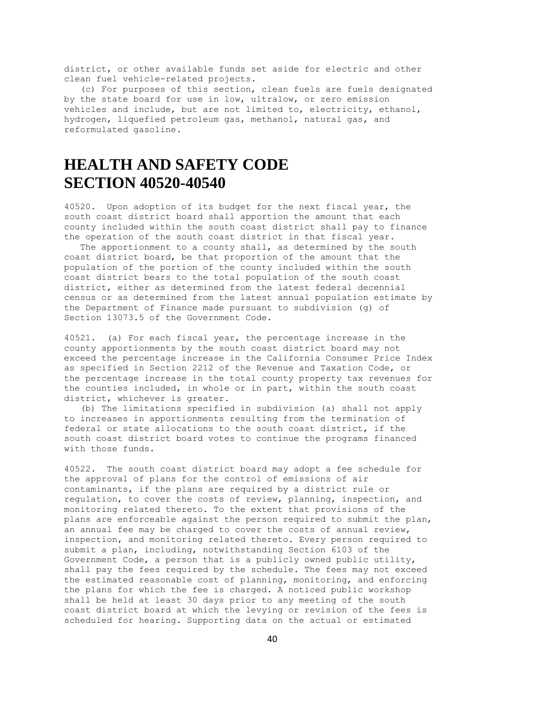district, or other available funds set aside for electric and other clean fuel vehicle-related projects.

 (c) For purposes of this section, clean fuels are fuels designated by the state board for use in low, ultralow, or zero emission vehicles and include, but are not limited to, electricity, ethanol, hydrogen, liquefied petroleum gas, methanol, natural gas, and reformulated gasoline.

# **HEALTH AND SAFETY CODE SECTION 40520-40540**

40520. Upon adoption of its budget for the next fiscal year, the south coast district board shall apportion the amount that each county included within the south coast district shall pay to finance the operation of the south coast district in that fiscal year.

 The apportionment to a county shall, as determined by the south coast district board, be that proportion of the amount that the population of the portion of the county included within the south coast district bears to the total population of the south coast district, either as determined from the latest federal decennial census or as determined from the latest annual population estimate by the Department of Finance made pursuant to subdivision (g) of Section 13073.5 of the Government Code.

40521. (a) For each fiscal year, the percentage increase in the county apportionments by the south coast district board may not exceed the percentage increase in the California Consumer Price Index as specified in Section 2212 of the Revenue and Taxation Code, or the percentage increase in the total county property tax revenues for the counties included, in whole or in part, within the south coast district, whichever is greater.

 (b) The limitations specified in subdivision (a) shall not apply to increases in apportionments resulting from the termination of federal or state allocations to the south coast district, if the south coast district board votes to continue the programs financed with those funds.

40522. The south coast district board may adopt a fee schedule for the approval of plans for the control of emissions of air contaminants, if the plans are required by a district rule or regulation, to cover the costs of review, planning, inspection, and monitoring related thereto. To the extent that provisions of the plans are enforceable against the person required to submit the plan, an annual fee may be charged to cover the costs of annual review, inspection, and monitoring related thereto. Every person required to submit a plan, including, notwithstanding Section 6103 of the Government Code, a person that is a publicly owned public utility, shall pay the fees required by the schedule. The fees may not exceed the estimated reasonable cost of planning, monitoring, and enforcing the plans for which the fee is charged. A noticed public workshop shall be held at least 30 days prior to any meeting of the south coast district board at which the levying or revision of the fees is scheduled for hearing. Supporting data on the actual or estimated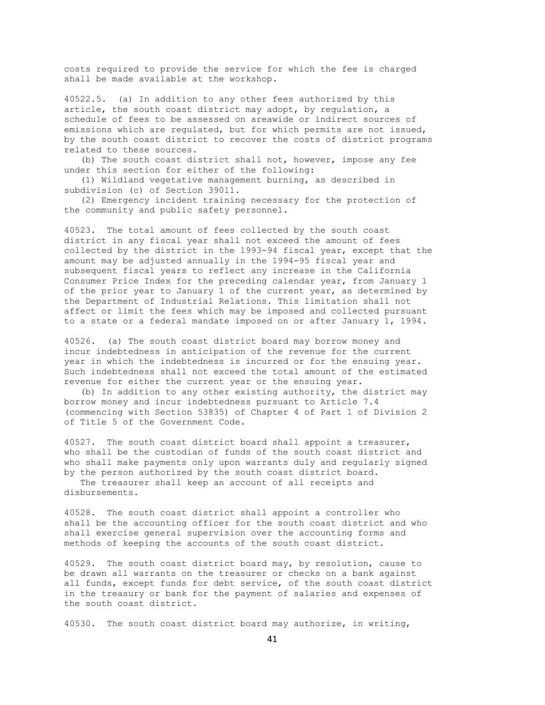costs required to provide the service for which the fee is charged shall be made available at the workshop.

40522.5. (a) In addition to any other fees authorized by this article, the south coast district may adopt, by regulation, a schedule of fees to be assessed on areawide or indirect sources of emissions which are regulated, but for which permits are not issued, by the south coast district to recover the costs of district programs related to these sources.

 (b) The south coast district shall not, however, impose any fee under this section for either of the following:

 (1) Wildland vegetative management burning, as described in subdivision (c) of Section 39011.

 (2) Emergency incident training necessary for the protection of the community and public safety personnel.

40523. The total amount of fees collected by the south coast district in any fiscal year shall not exceed the amount of fees collected by the district in the 1993-94 fiscal year, except that the amount may be adjusted annually in the 1994-95 fiscal year and subsequent fiscal years to reflect any increase in the California Consumer Price Index for the preceding calendar year, from January 1 of the prior year to January 1 of the current year, as determined by the Department of Industrial Relations. This limitation shall not affect or limit the fees which may be imposed and collected pursuant to a state or a federal mandate imposed on or after January 1, 1994.

40526. (a) The south coast district board may borrow money and incur indebtedness in anticipation of the revenue for the current year in which the indebtedness is incurred or for the ensuing year. Such indebtedness shall not exceed the total amount of the estimated revenue for either the current year or the ensuing year.

 (b) In addition to any other existing authority, the district may borrow money and incur indebtedness pursuant to Article 7.4 (commencing with Section 53835) of Chapter 4 of Part 1 of Division 2 of Title 5 of the Government Code.

40527. The south coast district board shall appoint a treasurer, who shall be the custodian of funds of the south coast district and who shall make payments only upon warrants duly and regularly signed by the person authorized by the south coast district board.

 The treasurer shall keep an account of all receipts and disbursements.

40528. The south coast district shall appoint a controller who shall be the accounting officer for the south coast district and who shall exercise general supervision over the accounting forms and methods of keeping the accounts of the south coast district.

40529. The south coast district board may, by resolution, cause to be drawn all warrants on the treasurer or checks on a bank against all funds, except funds for debt service, of the south coast district in the treasury or bank for the payment of salaries and expenses of the south coast district.

40530. The south coast district board may authorize, in writing,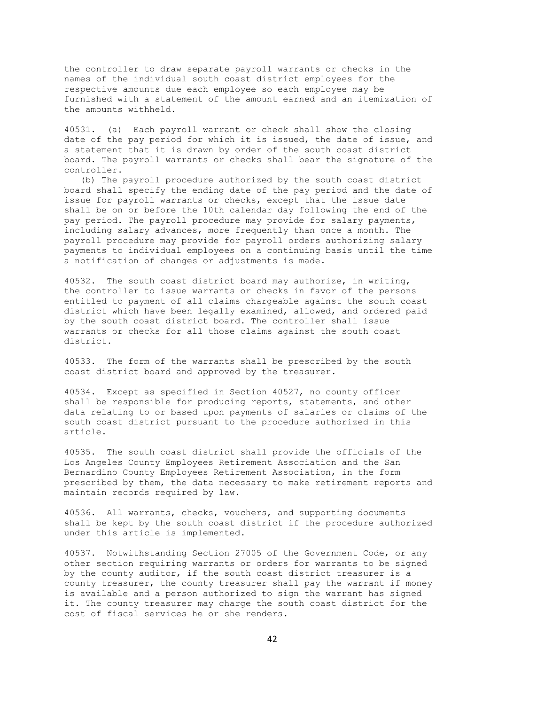the controller to draw separate payroll warrants or checks in the names of the individual south coast district employees for the respective amounts due each employee so each employee may be furnished with a statement of the amount earned and an itemization of the amounts withheld.

40531. (a) Each payroll warrant or check shall show the closing date of the pay period for which it is issued, the date of issue, and a statement that it is drawn by order of the south coast district board. The payroll warrants or checks shall bear the signature of the controller.

 (b) The payroll procedure authorized by the south coast district board shall specify the ending date of the pay period and the date of issue for payroll warrants or checks, except that the issue date shall be on or before the 10th calendar day following the end of the pay period. The payroll procedure may provide for salary payments, including salary advances, more frequently than once a month. The payroll procedure may provide for payroll orders authorizing salary payments to individual employees on a continuing basis until the time a notification of changes or adjustments is made.

40532. The south coast district board may authorize, in writing, the controller to issue warrants or checks in favor of the persons entitled to payment of all claims chargeable against the south coast district which have been legally examined, allowed, and ordered paid by the south coast district board. The controller shall issue warrants or checks for all those claims against the south coast district.

40533. The form of the warrants shall be prescribed by the south coast district board and approved by the treasurer.

40534. Except as specified in Section 40527, no county officer shall be responsible for producing reports, statements, and other data relating to or based upon payments of salaries or claims of the south coast district pursuant to the procedure authorized in this article.

40535. The south coast district shall provide the officials of the Los Angeles County Employees Retirement Association and the San Bernardino County Employees Retirement Association, in the form prescribed by them, the data necessary to make retirement reports and maintain records required by law.

40536. All warrants, checks, vouchers, and supporting documents shall be kept by the south coast district if the procedure authorized under this article is implemented.

40537. Notwithstanding Section 27005 of the Government Code, or any other section requiring warrants or orders for warrants to be signed by the county auditor, if the south coast district treasurer is a county treasurer, the county treasurer shall pay the warrant if money is available and a person authorized to sign the warrant has signed it. The county treasurer may charge the south coast district for the cost of fiscal services he or she renders.